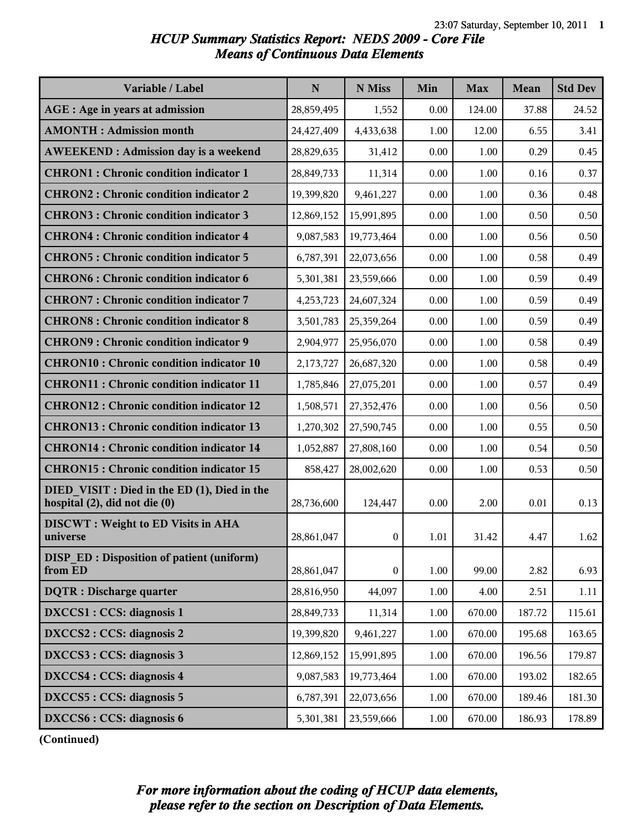## *HCUP Summary Statistics Report: NEDS 2009 - Core File Means of Continuous Data Elements*

| Variable / Label                                                              | N          | N Miss           | Min  | <b>Max</b> | <b>Mean</b> | <b>Std Dev</b> |
|-------------------------------------------------------------------------------|------------|------------------|------|------------|-------------|----------------|
| AGE : Age in years at admission                                               | 28,859,495 | 1,552            | 0.00 | 124.00     | 37.88       | 24.52          |
| <b>AMONTH: Admission month</b>                                                | 24,427,409 | 4,433,638        | 1.00 | 12.00      | 6.55        | 3.41           |
| <b>AWEEKEND: Admission day is a weekend</b>                                   | 28,829,635 | 31,412           | 0.00 | 1.00       | 0.29        | 0.45           |
| <b>CHRON1</b> : Chronic condition indicator 1                                 | 28,849,733 | 11,314           | 0.00 | 1.00       | 0.16        | 0.37           |
| <b>CHRON2: Chronic condition indicator 2</b>                                  | 19,399,820 | 9,461,227        | 0.00 | 1.00       | 0.36        | 0.48           |
| <b>CHRON3: Chronic condition indicator 3</b>                                  | 12,869,152 | 15,991,895       | 0.00 | 1.00       | 0.50        | 0.50           |
| <b>CHRON4: Chronic condition indicator 4</b>                                  | 9,087,583  | 19,773,464       | 0.00 | 1.00       | 0.56        | 0.50           |
| <b>CHRON5: Chronic condition indicator 5</b>                                  | 6,787,391  | 22,073,656       | 0.00 | 1.00       | 0.58        | 0.49           |
| <b>CHRON6: Chronic condition indicator 6</b>                                  | 5,301,381  | 23,559,666       | 0.00 | 1.00       | 0.59        | 0.49           |
| <b>CHRON7: Chronic condition indicator 7</b>                                  | 4,253,723  | 24,607,324       | 0.00 | 1.00       | 0.59        | 0.49           |
| <b>CHRON8: Chronic condition indicator 8</b>                                  | 3,501,783  | 25,359,264       | 0.00 | 1.00       | 0.59        | 0.49           |
| <b>CHRON9: Chronic condition indicator 9</b>                                  | 2,904,977  | 25,956,070       | 0.00 | 1.00       | 0.58        | 0.49           |
| <b>CHRON10: Chronic condition indicator 10</b>                                | 2,173,727  | 26,687,320       | 0.00 | 1.00       | 0.58        | 0.49           |
| <b>CHRON11: Chronic condition indicator 11</b>                                | 1,785,846  | 27,075,201       | 0.00 | 1.00       | 0.57        | 0.49           |
| <b>CHRON12: Chronic condition indicator 12</b>                                | 1,508,571  | 27,352,476       | 0.00 | 1.00       | 0.56        | 0.50           |
| <b>CHRON13: Chronic condition indicator 13</b>                                | 1,270,302  | 27,590,745       | 0.00 | 1.00       | 0.55        | 0.50           |
| <b>CHRON14: Chronic condition indicator 14</b>                                | 1,052,887  | 27,808,160       | 0.00 | 1.00       | 0.54        | 0.50           |
| <b>CHRON15: Chronic condition indicator 15</b>                                | 858,427    | 28,002,620       | 0.00 | 1.00       | 0.53        | 0.50           |
| DIED VISIT : Died in the ED (1), Died in the<br>hospital (2), did not die (0) | 28,736,600 | 124,447          | 0.00 | 2.00       | 0.01        | 0.13           |
| <b>DISCWT</b> : Weight to ED Visits in AHA<br>universe                        | 28,861,047 | $\boldsymbol{0}$ | 1.01 | 31.42      | 4.47        | 1.62           |
| <b>DISP ED: Disposition of patient (uniform)</b><br>from ED                   | 28,861,047 | $\boldsymbol{0}$ | 1.00 | 99.00      | 2.82        | 6.93           |
| <b>DQTR</b> : Discharge quarter                                               | 28,816,950 | 44,097           | 1.00 | 4.00       | 2.51        | 1.11           |
| DXCCS1 : CCS: diagnosis 1                                                     | 28,849,733 | 11,314           | 1.00 | 670.00     | 187.72      | 115.61         |
| DXCCS2 : CCS: diagnosis 2                                                     | 19,399,820 | 9,461,227        | 1.00 | 670.00     | 195.68      | 163.65         |
| DXCCS3 : CCS: diagnosis 3                                                     | 12,869,152 | 15,991,895       | 1.00 | 670.00     | 196.56      | 179.87         |
| DXCCS4 : CCS: diagnosis 4                                                     | 9,087,583  | 19,773,464       | 1.00 | 670.00     | 193.02      | 182.65         |
| DXCCS5 : CCS: diagnosis 5                                                     | 6,787,391  | 22,073,656       | 1.00 | 670.00     | 189.46      | 181.30         |
| DXCCS6 : CCS: diagnosis 6                                                     | 5,301,381  | 23,559,666       | 1.00 | 670.00     | 186.93      | 178.89         |

**(Continued)**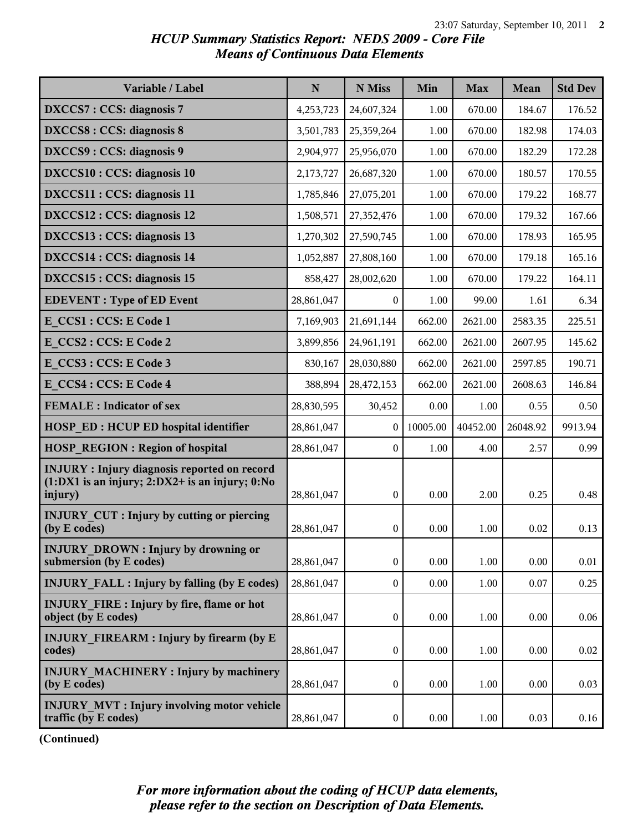## *HCUP Summary Statistics Report: NEDS 2009 - Core File Means of Continuous Data Elements*

| Variable / Label                                                                                                       | $\mathbf N$ | N Miss           | Min      | <b>Max</b> | Mean     | <b>Std Dev</b> |
|------------------------------------------------------------------------------------------------------------------------|-------------|------------------|----------|------------|----------|----------------|
| <b>DXCCS7: CCS: diagnosis 7</b>                                                                                        | 4,253,723   | 24,607,324       | 1.00     | 670.00     | 184.67   | 176.52         |
| <b>DXCCS8: CCS: diagnosis 8</b>                                                                                        | 3,501,783   | 25,359,264       | 1.00     | 670.00     | 182.98   | 174.03         |
| DXCCS9: CCS: diagnosis 9                                                                                               | 2,904,977   | 25,956,070       | 1.00     | 670.00     | 182.29   | 172.28         |
| DXCCS10 : CCS: diagnosis 10                                                                                            | 2,173,727   | 26,687,320       | 1.00     | 670.00     | 180.57   | 170.55         |
| DXCCS11 : CCS: diagnosis 11                                                                                            | 1,785,846   | 27,075,201       | 1.00     | 670.00     | 179.22   | 168.77         |
| DXCCS12 : CCS: diagnosis 12                                                                                            | 1,508,571   | 27,352,476       | 1.00     | 670.00     | 179.32   | 167.66         |
| DXCCS13 : CCS: diagnosis 13                                                                                            | 1,270,302   | 27,590,745       | 1.00     | 670.00     | 178.93   | 165.95         |
| DXCCS14 : CCS: diagnosis 14                                                                                            | 1,052,887   | 27,808,160       | 1.00     | 670.00     | 179.18   | 165.16         |
| DXCCS15 : CCS: diagnosis 15                                                                                            | 858,427     | 28,002,620       | 1.00     | 670.00     | 179.22   | 164.11         |
| <b>EDEVENT</b> : Type of ED Event                                                                                      | 28,861,047  | $\overline{0}$   | 1.00     | 99.00      | 1.61     | 6.34           |
| E CCS1 : CCS: E Code 1                                                                                                 | 7,169,903   | 21,691,144       | 662.00   | 2621.00    | 2583.35  | 225.51         |
| E CCS2 : CCS: E Code 2                                                                                                 | 3,899,856   | 24,961,191       | 662.00   | 2621.00    | 2607.95  | 145.62         |
| E CCS3 : CCS: E Code 3                                                                                                 | 830,167     | 28,030,880       | 662.00   | 2621.00    | 2597.85  | 190.71         |
| E CCS4 : CCS: E Code 4                                                                                                 | 388,894     | 28,472,153       | 662.00   | 2621.00    | 2608.63  | 146.84         |
| <b>FEMALE</b> : Indicator of sex                                                                                       | 28,830,595  | 30,452           | 0.00     | 1.00       | 0.55     | 0.50           |
| <b>HOSP ED: HCUP ED hospital identifier</b>                                                                            | 28,861,047  | $\mathbf{0}$     | 10005.00 | 40452.00   | 26048.92 | 9913.94        |
| <b>HOSP REGION: Region of hospital</b>                                                                                 | 28,861,047  | $\boldsymbol{0}$ | 1.00     | 4.00       | 2.57     | 0.99           |
| <b>INJURY</b> : Injury diagnosis reported on record<br>$(1:DX1$ is an injury; $2:DX2+$ is an injury; $0:No$<br>injury) | 28,861,047  | $\mathbf{0}$     | 0.00     | 2.00       | 0.25     | 0.48           |
| <b>INJURY CUT : Injury by cutting or piercing</b><br>(by E codes)                                                      | 28,861,047  | $\mathbf{0}$     | 0.00     | 1.00       | 0.02     | 0.13           |
| <b>INJURY DROWN: Injury by drowning or</b><br>submersion (by E codes)                                                  | 28,861,047  | $\boldsymbol{0}$ | 0.00     | $1.00\,$   | 0.00     | 0.01           |
| <b>INJURY FALL: Injury by falling (by E codes)</b>                                                                     | 28,861,047  | $\overline{0}$   | 0.00     | 1.00       | 0.07     | 0.25           |
| <b>INJURY FIRE: Injury by fire, flame or hot</b><br>object (by E codes)                                                | 28,861,047  | $\boldsymbol{0}$ | 0.00     | 1.00       | 0.00     | 0.06           |
| <b>INJURY FIREARM : Injury by firearm (by E</b><br>codes)                                                              | 28,861,047  | $\boldsymbol{0}$ | 0.00     | 1.00       | 0.00     | 0.02           |
| <b>INJURY MACHINERY: Injury by machinery</b><br>(by E codes)                                                           | 28,861,047  | $\boldsymbol{0}$ | 0.00     | 1.00       | 0.00     | 0.03           |
| <b>INJURY MVT : Injury involving motor vehicle</b><br>traffic (by E codes)                                             | 28,861,047  | $\boldsymbol{0}$ | 0.00     | 1.00       | 0.03     | 0.16           |

**(Continued)**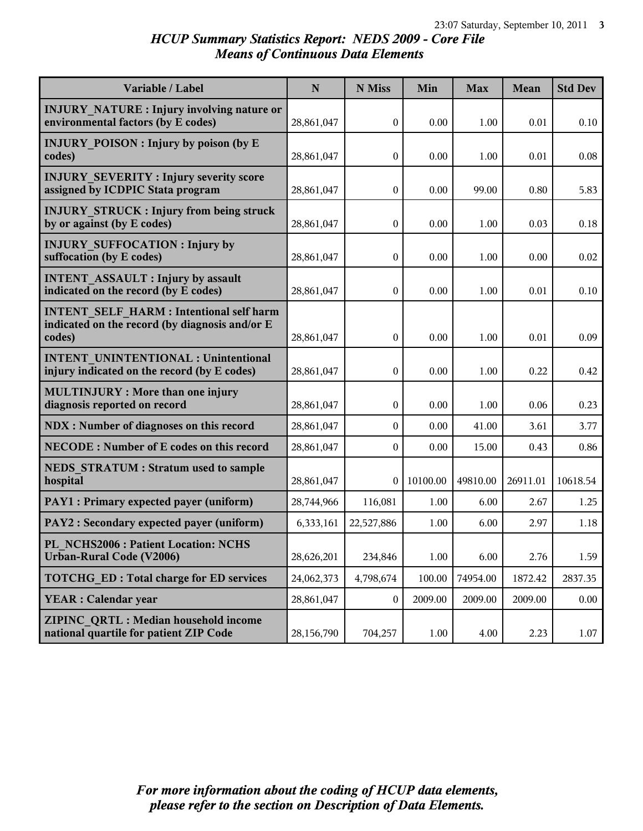# *HCUP Summary Statistics Report: NEDS 2009 - Core File Means of Continuous Data Elements*

| Variable / Label                                                                                           | $\mathbf N$ | N Miss           | Min      | <b>Max</b> | Mean     | <b>Std Dev</b> |
|------------------------------------------------------------------------------------------------------------|-------------|------------------|----------|------------|----------|----------------|
| <b>INJURY NATURE : Injury involving nature or</b><br>environmental factors (by E codes)                    | 28,861,047  | $\boldsymbol{0}$ | 0.00     | 1.00       | 0.01     | 0.10           |
| <b>INJURY POISON: Injury by poison (by E</b><br>codes)                                                     | 28,861,047  | 0                | 0.00     | 1.00       | 0.01     | 0.08           |
| <b>INJURY SEVERITY: Injury severity score</b><br>assigned by ICDPIC Stata program                          | 28,861,047  | 0                | 0.00     | 99.00      | 0.80     | 5.83           |
| <b>INJURY STRUCK: Injury from being struck</b><br>by or against (by E codes)                               | 28,861,047  | $\boldsymbol{0}$ | 0.00     | 1.00       | 0.03     | 0.18           |
| <b>INJURY SUFFOCATION: Injury by</b><br>suffocation (by E codes)                                           | 28,861,047  | $\boldsymbol{0}$ | 0.00     | 1.00       | 0.00     | 0.02           |
| <b>INTENT ASSAULT : Injury by assault</b><br>indicated on the record (by E codes)                          | 28,861,047  | $\boldsymbol{0}$ | 0.00     | 1.00       | 0.01     | 0.10           |
| <b>INTENT SELF HARM: Intentional self harm</b><br>indicated on the record (by diagnosis and/or E<br>codes) | 28,861,047  | 0                | 0.00     | 1.00       | 0.01     | 0.09           |
| <b>INTENT UNINTENTIONAL : Unintentional</b><br>injury indicated on the record (by E codes)                 | 28,861,047  | $\boldsymbol{0}$ | 0.00     | 1.00       | 0.22     | 0.42           |
| <b>MULTINJURY: More than one injury</b><br>diagnosis reported on record                                    | 28,861,047  | $\boldsymbol{0}$ | 0.00     | 1.00       | 0.06     | 0.23           |
| <b>NDX</b> : Number of diagnoses on this record                                                            | 28,861,047  | $\boldsymbol{0}$ | 0.00     | 41.00      | 3.61     | 3.77           |
| <b>NECODE: Number of E codes on this record</b>                                                            | 28,861,047  | $\boldsymbol{0}$ | 0.00     | 15.00      | 0.43     | 0.86           |
| <b>NEDS STRATUM: Stratum used to sample</b><br>hospital                                                    | 28,861,047  | 0                | 10100.00 | 49810.00   | 26911.01 | 10618.54       |
| PAY1 : Primary expected payer (uniform)                                                                    | 28,744,966  | 116,081          | 1.00     | 6.00       | 2.67     | 1.25           |
| PAY2 : Secondary expected payer (uniform)                                                                  | 6,333,161   | 22,527,886       | 1.00     | 6.00       | 2.97     | 1.18           |
| PL NCHS2006 : Patient Location: NCHS<br>Urban-Rural Code (V2006)                                           | 28,626,201  | 234,846          | 1.00     | 6.00       | 2.76     | 1.59           |
| <b>TOTCHG ED: Total charge for ED services</b>                                                             | 24,062,373  | 4,798,674        | 100.00   | 74954.00   | 1872.42  | 2837.35        |
| <b>YEAR</b> : Calendar year                                                                                | 28,861,047  | 0                | 2009.00  | 2009.00    | 2009.00  | 0.00           |
| ZIPINC QRTL: Median household income<br>national quartile for patient ZIP Code                             | 28,156,790  | 704,257          | 1.00     | 4.00       | 2.23     | 1.07           |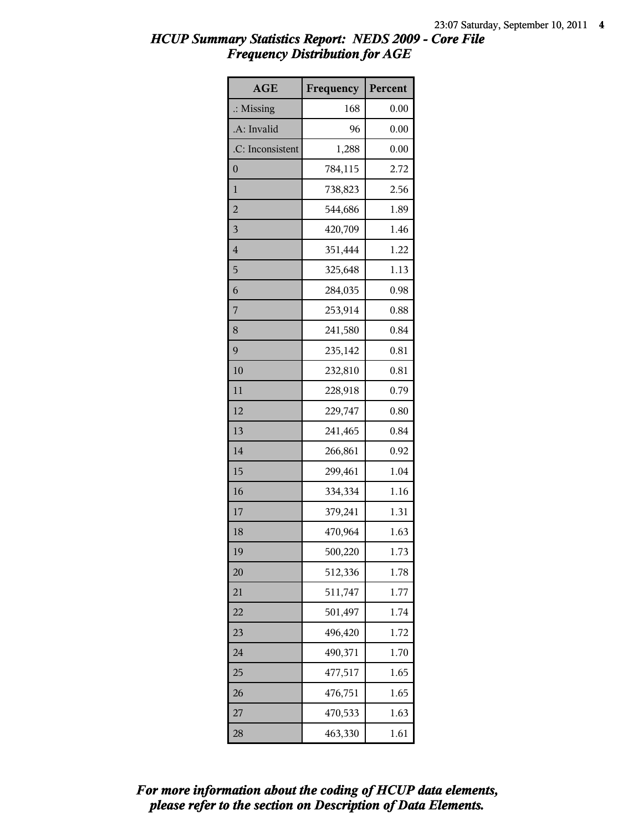| <b>AGE</b>           | Frequency | Percent |
|----------------------|-----------|---------|
| $\therefore$ Missing | 168       | 0.00    |
| .A: Invalid          | 96        | 0.00    |
| .C: Inconsistent     | 1,288     | 0.00    |
| $\boldsymbol{0}$     | 784,115   | 2.72    |
| $\mathbf{1}$         | 738,823   | 2.56    |
| $\overline{2}$       | 544,686   | 1.89    |
| $\overline{3}$       | 420,709   | 1.46    |
| $\overline{4}$       | 351,444   | 1.22    |
| 5                    | 325,648   | 1.13    |
| 6                    | 284,035   | 0.98    |
| 7                    | 253,914   | 0.88    |
| 8                    | 241,580   | 0.84    |
| 9                    | 235,142   | 0.81    |
| 10                   | 232,810   | 0.81    |
| 11                   | 228,918   | 0.79    |
| 12                   | 229,747   | 0.80    |
| 13                   | 241,465   | 0.84    |
| 14                   | 266,861   | 0.92    |
| 15                   | 299,461   | 1.04    |
| 16                   | 334,334   | 1.16    |
| 17                   | 379,241   | 1.31    |
| 18                   | 470,964   | 1.63    |
| 19                   | 500,220   | 1.73    |
| 20                   | 512,336   | 1.78    |
| 21                   | 511,747   | 1.77    |
| 22                   | 501,497   | 1.74    |
| 23                   | 496,420   | 1.72    |
| 24                   | 490,371   | 1.70    |
| 25                   | 477,517   | 1.65    |
| 26                   | 476,751   | 1.65    |
| 27                   | 470,533   | 1.63    |
| 28                   | 463,330   | 1.61    |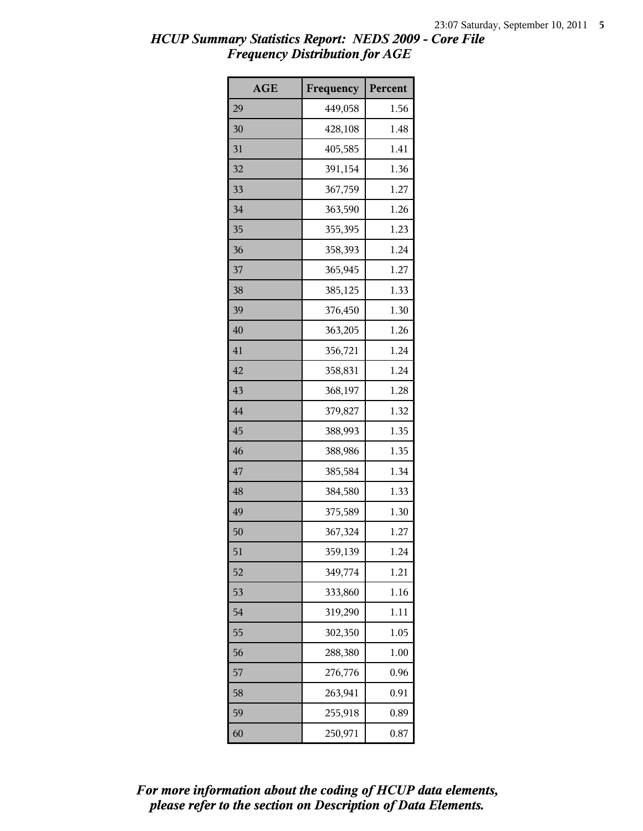| AGE | Frequency | Percent |
|-----|-----------|---------|
| 29  | 449,058   | 1.56    |
| 30  | 428,108   | 1.48    |
| 31  | 405,585   | 1.41    |
| 32  | 391,154   | 1.36    |
| 33  | 367,759   | 1.27    |
| 34  | 363,590   | 1.26    |
| 35  | 355,395   | 1.23    |
| 36  | 358,393   | 1.24    |
| 37  | 365,945   | 1.27    |
| 38  | 385,125   | 1.33    |
| 39  | 376,450   | 1.30    |
| 40  | 363,205   | 1.26    |
| 41  | 356,721   | 1.24    |
| 42  | 358,831   | 1.24    |
| 43  | 368,197   | 1.28    |
| 44  | 379,827   | 1.32    |
| 45  | 388,993   | 1.35    |
| 46  | 388,986   | 1.35    |
| 47  | 385,584   | 1.34    |
| 48  | 384,580   | 1.33    |
| 49  | 375,589   | 1.30    |
| 50  | 367,324   | 1.27    |
| 51  | 359,139   | 1.24    |
| 52  | 349,774   | 1.21    |
| 53  | 333,860   | 1.16    |
| 54  | 319,290   | 1.11    |
| 55  | 302,350   | 1.05    |
| 56  | 288,380   | 1.00    |
| 57  | 276,776   | 0.96    |
| 58  | 263,941   | 0.91    |
| 59  | 255,918   | 0.89    |
| 60  | 250,971   | 0.87    |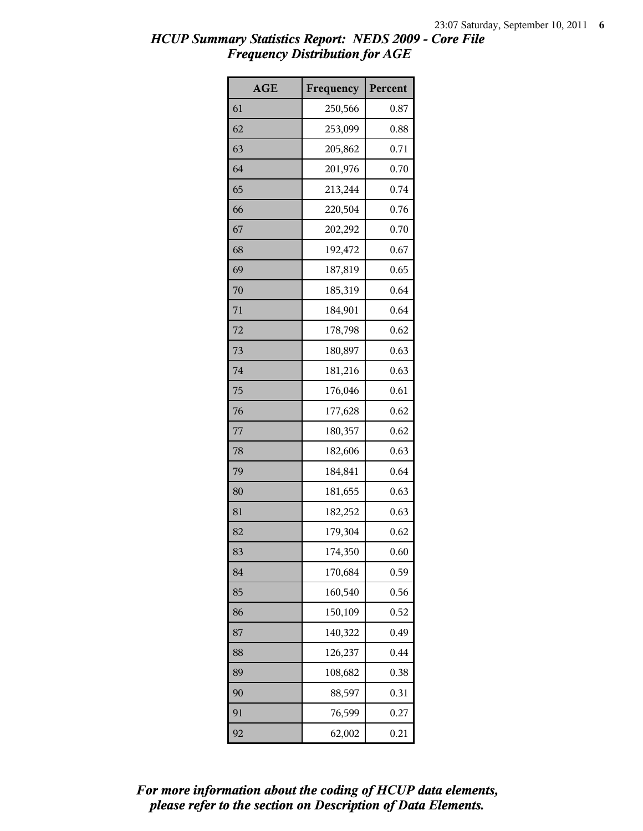| <b>AGE</b> | Frequency | Percent |
|------------|-----------|---------|
| 61         | 250,566   | 0.87    |
| 62         | 253,099   | 0.88    |
| 63         | 205,862   | 0.71    |
| 64         | 201,976   | 0.70    |
| 65         | 213,244   | 0.74    |
| 66         | 220,504   | 0.76    |
| 67         | 202,292   | 0.70    |
| 68         | 192,472   | 0.67    |
| 69         | 187,819   | 0.65    |
| 70         | 185,319   | 0.64    |
| 71         | 184,901   | 0.64    |
| 72         | 178,798   | 0.62    |
| 73         | 180,897   | 0.63    |
| 74         | 181,216   | 0.63    |
| 75         | 176,046   | 0.61    |
| 76         | 177,628   | 0.62    |
| 77         | 180,357   | 0.62    |
| 78         | 182,606   | 0.63    |
| 79         | 184,841   | 0.64    |
| 80         | 181,655   | 0.63    |
| 81         | 182,252   | 0.63    |
| 82         | 179,304   | 0.62    |
| 83         | 174,350   | 0.60    |
| 84         | 170,684   | 0.59    |
| 85         | 160,540   | 0.56    |
| 86         | 150,109   | 0.52    |
| 87         | 140,322   | 0.49    |
| 88         | 126,237   | 0.44    |
| 89         | 108,682   | 0.38    |
| 90         | 88,597    | 0.31    |
| 91         | 76,599    | 0.27    |
| 92         | 62,002    | 0.21    |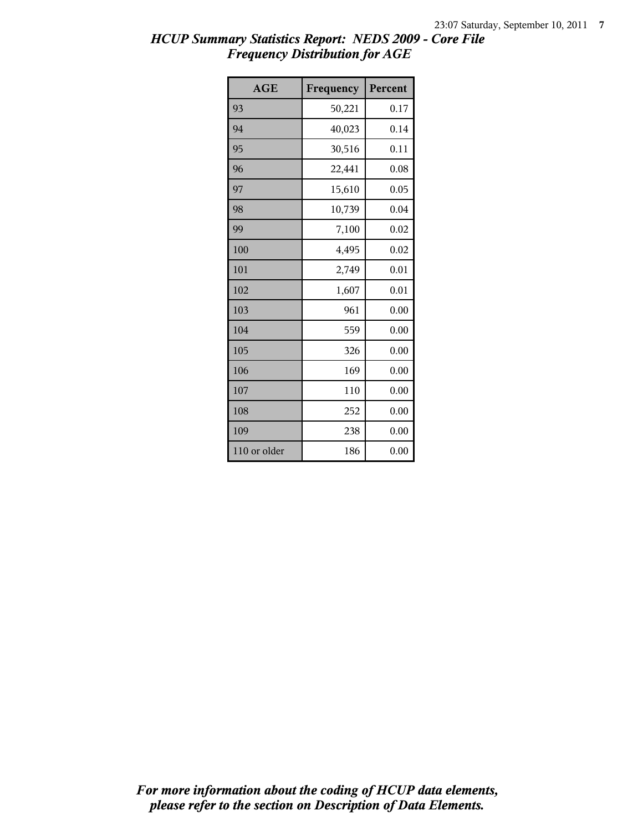| <b>AGE</b>   | Frequency | Percent |
|--------------|-----------|---------|
| 93           | 50,221    | 0.17    |
| 94           | 40,023    | 0.14    |
| 95           | 30,516    | 0.11    |
| 96           | 22,441    | 0.08    |
| 97           | 15,610    | 0.05    |
| 98           | 10,739    | 0.04    |
| 99           | 7,100     | 0.02    |
| 100          | 4,495     | 0.02    |
| 101          | 2,749     | 0.01    |
| 102          | 1,607     | 0.01    |
| 103          | 961       | 0.00    |
| 104          | 559       | 0.00    |
| 105          | 326       | 0.00    |
| 106          | 169       | 0.00    |
| 107          | 110       | 0.00    |
| 108          | 252       | 0.00    |
| 109          | 238       | 0.00    |
| 110 or older | 186       | 0.00    |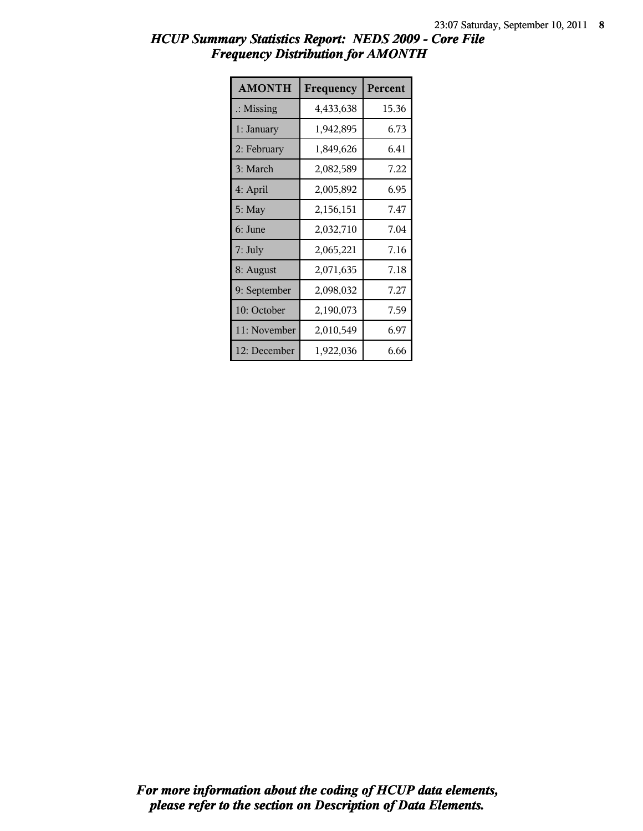| <b>AMONTH</b>        | Frequency | Percent |
|----------------------|-----------|---------|
| $\therefore$ Missing | 4,433,638 | 15.36   |
| 1: January           | 1,942,895 | 6.73    |
| 2: February          | 1,849,626 | 6.41    |
| 3: March             | 2,082,589 | 7.22    |
| 4: April             | 2,005,892 | 6.95    |
| 5: May               | 2,156,151 | 7.47    |
| 6: June              | 2,032,710 | 7.04    |
| 7: July              | 2,065,221 | 7.16    |
| 8: August            | 2,071,635 | 7.18    |
| 9: September         | 2,098,032 | 7.27    |
| 10: October          | 2,190,073 | 7.59    |
| 11: November         | 2,010,549 | 6.97    |
| 12: December         | 1,922,036 | 6.66    |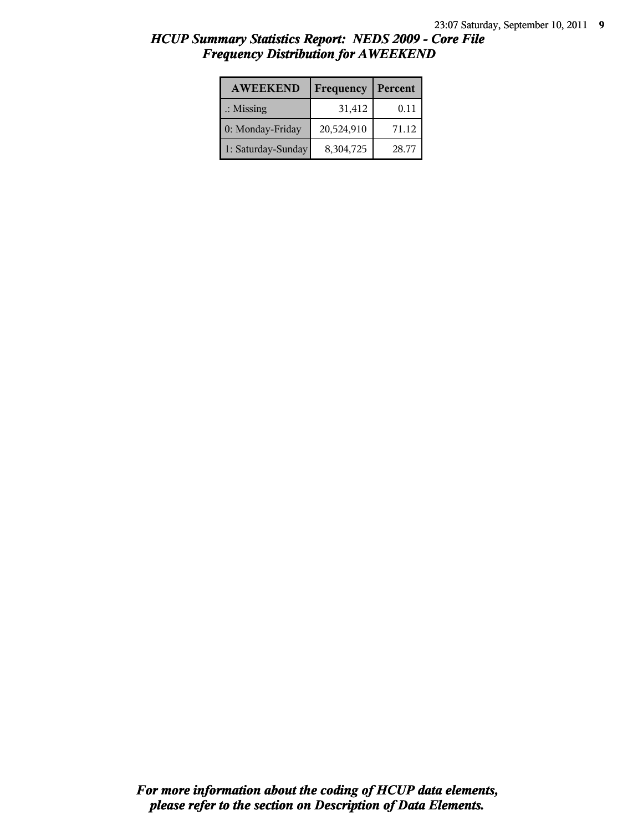| <b>AWEEKEND</b>      | Frequency  | Percent |
|----------------------|------------|---------|
| $\therefore$ Missing | 31,412     | 0.11    |
| 0: Monday-Friday     | 20,524,910 | 71.12   |
| 1: Saturday-Sunday   | 8,304,725  | 28.77   |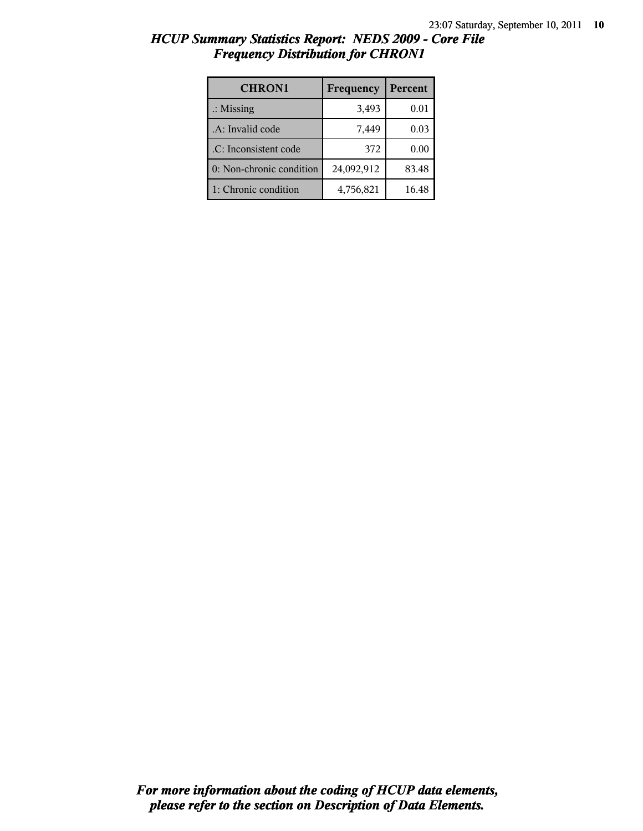| <b>CHRON1</b>            | Frequency  | Percent |
|--------------------------|------------|---------|
| $\therefore$ Missing     | 3,493      | 0.01    |
| .A: Invalid code         | 7,449      | 0.03    |
| .C: Inconsistent code    | 372        | 0.00    |
| 0: Non-chronic condition | 24,092,912 | 83.48   |
| 1: Chronic condition     | 4,756,821  | 16.48   |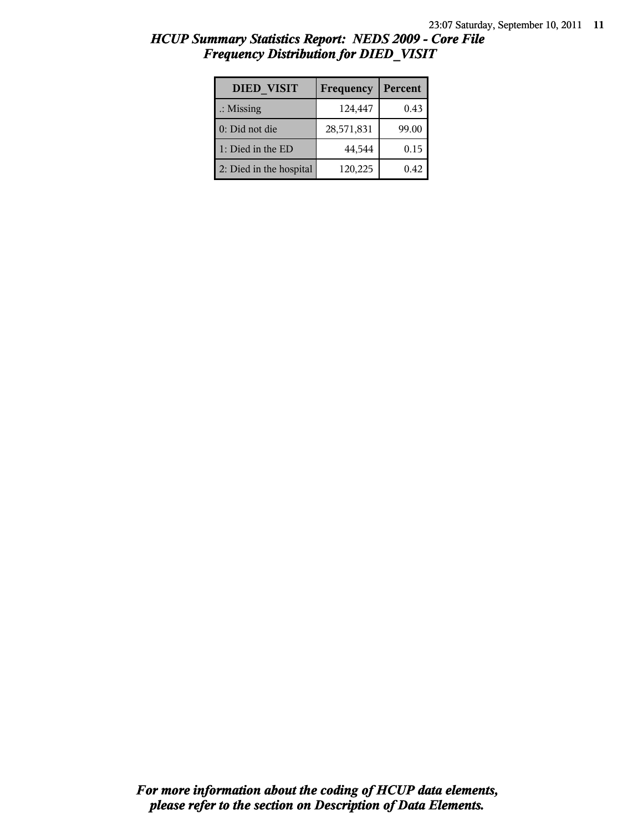| <b>DIED VISIT</b>       | Frequency  | Percent |
|-------------------------|------------|---------|
| $\therefore$ Missing    | 124,447    | 0.43    |
| $0:$ Did not die        | 28,571,831 | 99.00   |
| 1: Died in the ED       | 44,544     | 0.15    |
| 2: Died in the hospital | 120,225    | 0.42    |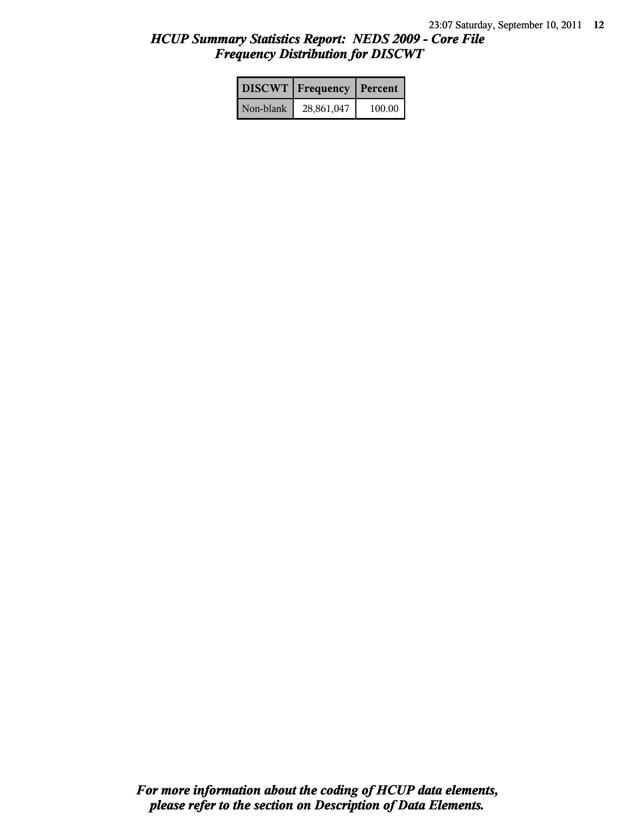|           | <b>DISCWT</b>   Frequency | <b>Percent</b> |
|-----------|---------------------------|----------------|
| Non-blank | 28,861,047                | 100.00         |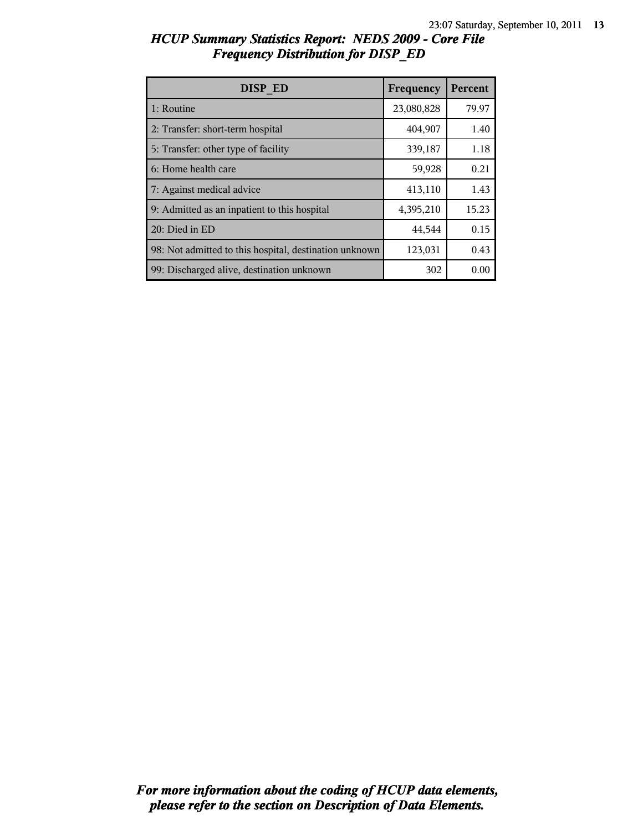| <b>DISP ED</b>                                         | Frequency  | Percent |
|--------------------------------------------------------|------------|---------|
| 1: Routine                                             | 23,080,828 | 79.97   |
| 2: Transfer: short-term hospital                       | 404,907    | 1.40    |
| 5: Transfer: other type of facility                    | 339,187    | 1.18    |
| 6: Home health care                                    | 59,928     | 0.21    |
| 7: Against medical advice                              | 413,110    | 1.43    |
| 9: Admitted as an inpatient to this hospital           | 4,395,210  | 15.23   |
| 20: Died in ED                                         | 44,544     | 0.15    |
| 98: Not admitted to this hospital, destination unknown | 123,031    | 0.43    |
| 99: Discharged alive, destination unknown              | 302        | 0.00    |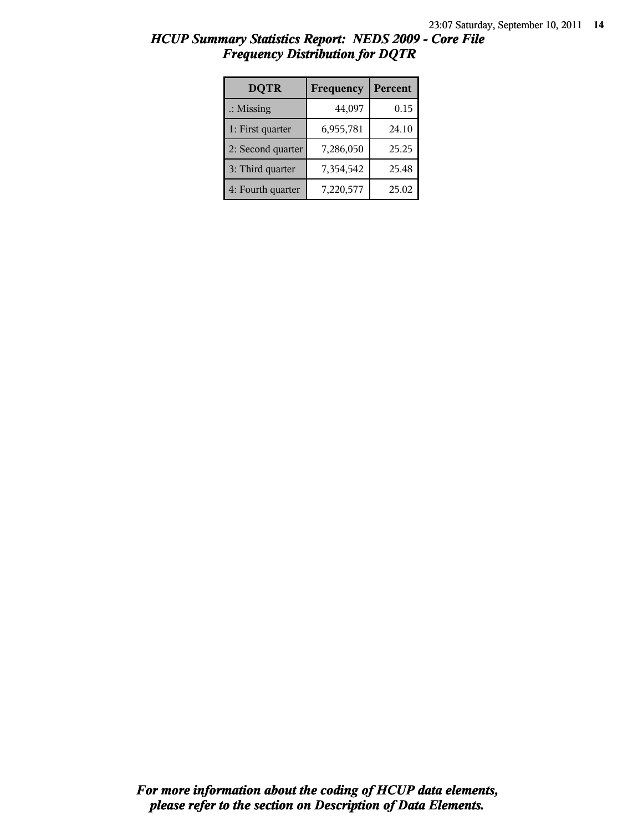| <b>DQTR</b>          | Frequency | Percent |
|----------------------|-----------|---------|
| $\therefore$ Missing | 44,097    | 0.15    |
| 1: First quarter     | 6,955,781 | 24.10   |
| 2: Second quarter    | 7,286,050 | 25.25   |
| 3: Third quarter     | 7,354,542 | 25.48   |
| 4: Fourth quarter    | 7,220,577 | 25.02   |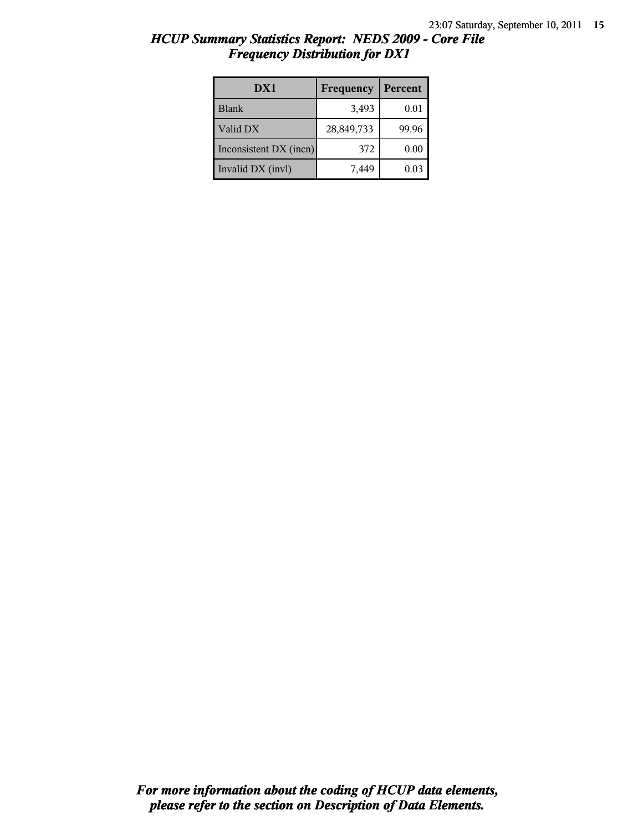| HCUP Summary Statistics Report: NEDS 2009 - Core File |  |
|-------------------------------------------------------|--|
| <b>Frequency Distribution for DX1</b>                 |  |

| DX1                    | Frequency  | Percent |
|------------------------|------------|---------|
| <b>Blank</b>           | 3,493      | 0.01    |
| Valid DX               | 28,849,733 | 99.96   |
| Inconsistent DX (incn) | 372        | 0.00    |
| Invalid DX (invl)      | 7.449      | 0.03    |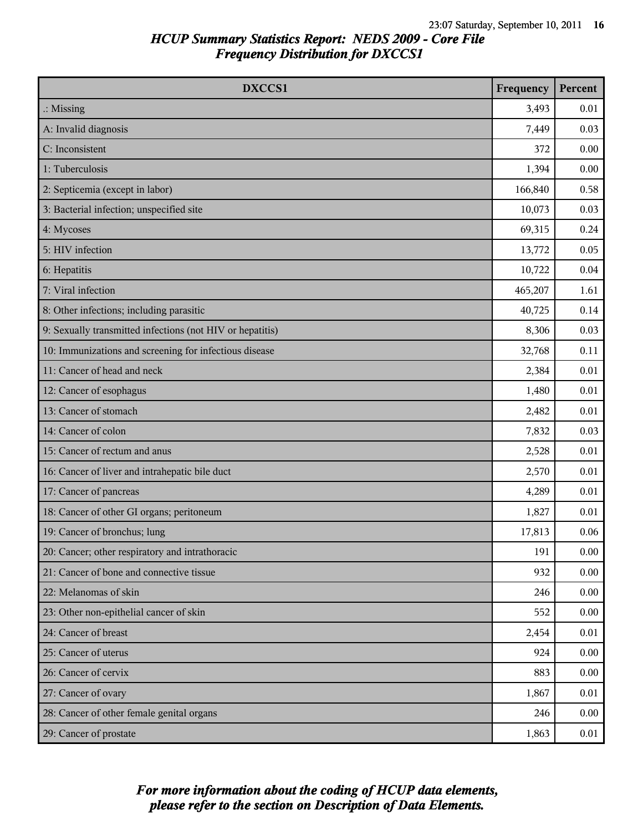| DXCCS1                                                    | Frequency | Percent |
|-----------------------------------------------------------|-----------|---------|
| $\therefore$ Missing                                      | 3,493     | 0.01    |
| A: Invalid diagnosis                                      | 7,449     | 0.03    |
| C: Inconsistent                                           | 372       | 0.00    |
| 1: Tuberculosis                                           | 1,394     | 0.00    |
| 2: Septicemia (except in labor)                           | 166,840   | 0.58    |
| 3: Bacterial infection; unspecified site                  | 10,073    | 0.03    |
| 4: Mycoses                                                | 69,315    | 0.24    |
| 5: HIV infection                                          | 13,772    | 0.05    |
| 6: Hepatitis                                              | 10,722    | 0.04    |
| 7: Viral infection                                        | 465,207   | 1.61    |
| 8: Other infections; including parasitic                  | 40,725    | 0.14    |
| 9: Sexually transmitted infections (not HIV or hepatitis) | 8,306     | 0.03    |
| 10: Immunizations and screening for infectious disease    | 32,768    | 0.11    |
| 11: Cancer of head and neck                               | 2,384     | 0.01    |
| 12: Cancer of esophagus                                   | 1,480     | 0.01    |
| 13: Cancer of stomach                                     | 2,482     | 0.01    |
| 14: Cancer of colon                                       | 7,832     | 0.03    |
| 15: Cancer of rectum and anus                             | 2,528     | 0.01    |
| 16: Cancer of liver and intrahepatic bile duct            | 2,570     | 0.01    |
| 17: Cancer of pancreas                                    | 4,289     | 0.01    |
| 18: Cancer of other GI organs; peritoneum                 | 1,827     | 0.01    |
| 19: Cancer of bronchus; lung                              | 17,813    | 0.06    |
| 20: Cancer; other respiratory and intrathoracic           | 191       | 0.00    |
| 21: Cancer of bone and connective tissue                  | 932       | 0.00    |
| 22: Melanomas of skin                                     | 246       | 0.00    |
| 23: Other non-epithelial cancer of skin                   | 552       | 0.00    |
| 24: Cancer of breast                                      | 2,454     | 0.01    |
| 25: Cancer of uterus                                      | 924       | 0.00    |
| 26: Cancer of cervix                                      | 883       | 0.00    |
| 27: Cancer of ovary                                       | 1,867     | 0.01    |
| 28: Cancer of other female genital organs                 | 246       | 0.00    |
| 29: Cancer of prostate                                    | 1,863     | 0.01    |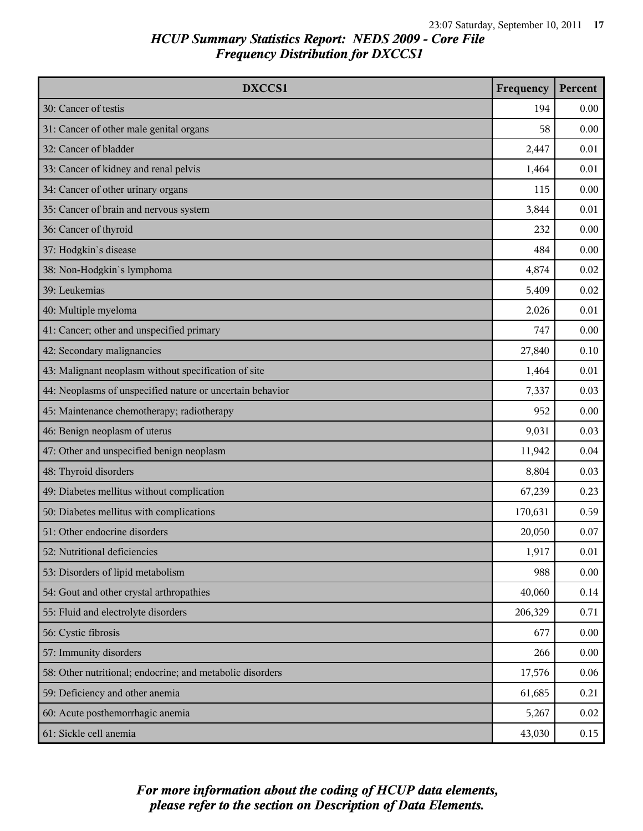| DXCCS1                                                    | Frequency | Percent |
|-----------------------------------------------------------|-----------|---------|
| 30: Cancer of testis                                      | 194       | 0.00    |
| 31: Cancer of other male genital organs                   | 58        | 0.00    |
| 32: Cancer of bladder                                     | 2,447     | 0.01    |
| 33: Cancer of kidney and renal pelvis                     | 1,464     | 0.01    |
| 34: Cancer of other urinary organs                        | 115       | 0.00    |
| 35: Cancer of brain and nervous system                    | 3,844     | 0.01    |
| 36: Cancer of thyroid                                     | 232       | 0.00    |
| 37: Hodgkin's disease                                     | 484       | 0.00    |
| 38: Non-Hodgkin's lymphoma                                | 4,874     | 0.02    |
| 39: Leukemias                                             | 5,409     | 0.02    |
| 40: Multiple myeloma                                      | 2,026     | 0.01    |
| 41: Cancer; other and unspecified primary                 | 747       | 0.00    |
| 42: Secondary malignancies                                | 27,840    | 0.10    |
| 43: Malignant neoplasm without specification of site      | 1,464     | 0.01    |
| 44: Neoplasms of unspecified nature or uncertain behavior | 7,337     | 0.03    |
| 45: Maintenance chemotherapy; radiotherapy                | 952       | 0.00    |
| 46: Benign neoplasm of uterus                             | 9,031     | 0.03    |
| 47: Other and unspecified benign neoplasm                 | 11,942    | 0.04    |
| 48: Thyroid disorders                                     | 8,804     | 0.03    |
| 49: Diabetes mellitus without complication                | 67,239    | 0.23    |
| 50: Diabetes mellitus with complications                  | 170,631   | 0.59    |
| 51: Other endocrine disorders                             | 20,050    | 0.07    |
| 52: Nutritional deficiencies                              | 1,917     | 0.01    |
| 53: Disorders of lipid metabolism                         | 988       | 0.00    |
| 54: Gout and other crystal arthropathies                  | 40,060    | 0.14    |
| 55: Fluid and electrolyte disorders                       | 206,329   | 0.71    |
| 56: Cystic fibrosis                                       | 677       | 0.00    |
| 57: Immunity disorders                                    | 266       | 0.00    |
| 58: Other nutritional; endocrine; and metabolic disorders | 17,576    | 0.06    |
| 59: Deficiency and other anemia                           | 61,685    | 0.21    |
| 60: Acute posthemorrhagic anemia                          | 5,267     | 0.02    |
| 61: Sickle cell anemia                                    | 43,030    | 0.15    |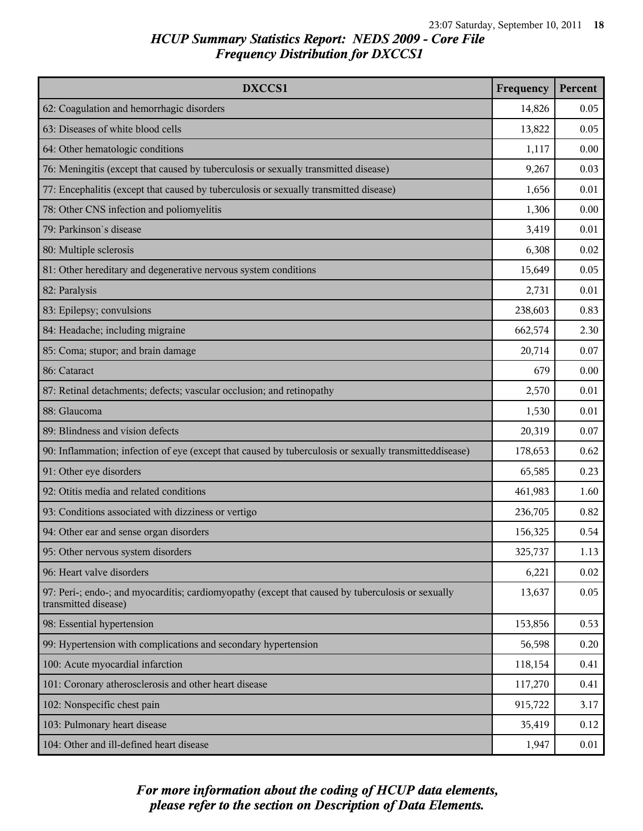| DXCCS1                                                                                                                    | Frequency | Percent |
|---------------------------------------------------------------------------------------------------------------------------|-----------|---------|
| 62: Coagulation and hemorrhagic disorders                                                                                 | 14,826    | 0.05    |
| 63: Diseases of white blood cells                                                                                         | 13,822    | 0.05    |
| 64: Other hematologic conditions                                                                                          | 1,117     | 0.00    |
| 76: Meningitis (except that caused by tuberculosis or sexually transmitted disease)                                       | 9,267     | 0.03    |
| 77: Encephalitis (except that caused by tuberculosis or sexually transmitted disease)                                     | 1,656     | 0.01    |
| 78: Other CNS infection and poliomyelitis                                                                                 | 1,306     | 0.00    |
| 79: Parkinson's disease                                                                                                   | 3,419     | 0.01    |
| 80: Multiple sclerosis                                                                                                    | 6,308     | 0.02    |
| 81: Other hereditary and degenerative nervous system conditions                                                           | 15,649    | 0.05    |
| 82: Paralysis                                                                                                             | 2,731     | 0.01    |
| 83: Epilepsy; convulsions                                                                                                 | 238,603   | 0.83    |
| 84: Headache; including migraine                                                                                          | 662,574   | 2.30    |
| 85: Coma; stupor; and brain damage                                                                                        | 20,714    | 0.07    |
| 86: Cataract                                                                                                              | 679       | 0.00    |
| 87: Retinal detachments; defects; vascular occlusion; and retinopathy                                                     | 2,570     | 0.01    |
| 88: Glaucoma                                                                                                              | 1,530     | 0.01    |
| 89: Blindness and vision defects                                                                                          | 20,319    | 0.07    |
| 90: Inflammation; infection of eye (except that caused by tuberculosis or sexually transmitteddisease)                    | 178,653   | 0.62    |
| 91: Other eye disorders                                                                                                   | 65,585    | 0.23    |
| 92: Otitis media and related conditions                                                                                   | 461,983   | 1.60    |
| 93: Conditions associated with dizziness or vertigo                                                                       | 236,705   | 0.82    |
| 94: Other ear and sense organ disorders                                                                                   | 156,325   | 0.54    |
| 95: Other nervous system disorders                                                                                        | 325,737   | 1.13    |
| 96: Heart valve disorders                                                                                                 | 6,221     | 0.02    |
| 97: Peri-; endo-; and myocarditis; cardiomyopathy (except that caused by tuberculosis or sexually<br>transmitted disease) | 13,637    | 0.05    |
| 98: Essential hypertension                                                                                                | 153,856   | 0.53    |
| 99: Hypertension with complications and secondary hypertension                                                            | 56,598    | 0.20    |
| 100: Acute myocardial infarction                                                                                          | 118,154   | 0.41    |
| 101: Coronary atherosclerosis and other heart disease                                                                     | 117,270   | 0.41    |
| 102: Nonspecific chest pain                                                                                               | 915,722   | 3.17    |
| 103: Pulmonary heart disease                                                                                              | 35,419    | 0.12    |
| 104: Other and ill-defined heart disease                                                                                  | 1,947     | 0.01    |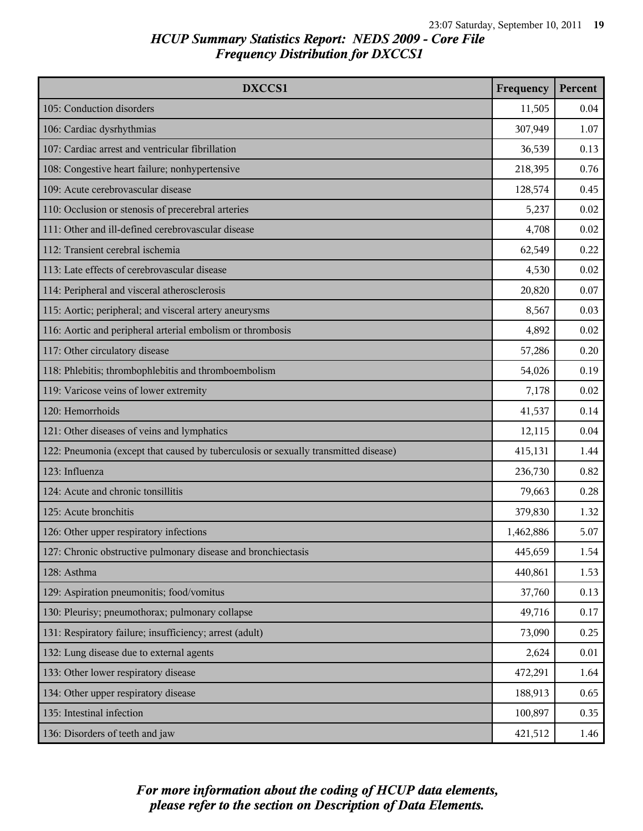| DXCCS1                                                                              | Frequency | Percent |
|-------------------------------------------------------------------------------------|-----------|---------|
| 105: Conduction disorders                                                           | 11,505    | 0.04    |
| 106: Cardiac dysrhythmias                                                           | 307,949   | 1.07    |
| 107: Cardiac arrest and ventricular fibrillation                                    | 36,539    | 0.13    |
| 108: Congestive heart failure; nonhypertensive                                      | 218,395   | 0.76    |
| 109: Acute cerebrovascular disease                                                  | 128,574   | 0.45    |
| 110: Occlusion or stenosis of precerebral arteries                                  | 5,237     | 0.02    |
| 111: Other and ill-defined cerebrovascular disease                                  | 4,708     | 0.02    |
| 112: Transient cerebral ischemia                                                    | 62,549    | 0.22    |
| 113: Late effects of cerebrovascular disease                                        | 4,530     | 0.02    |
| 114: Peripheral and visceral atherosclerosis                                        | 20,820    | 0.07    |
| 115: Aortic; peripheral; and visceral artery aneurysms                              | 8,567     | 0.03    |
| 116: Aortic and peripheral arterial embolism or thrombosis                          | 4,892     | 0.02    |
| 117: Other circulatory disease                                                      | 57,286    | 0.20    |
| 118: Phlebitis; thrombophlebitis and thromboembolism                                | 54,026    | 0.19    |
| 119: Varicose veins of lower extremity                                              | 7,178     | 0.02    |
| 120: Hemorrhoids                                                                    | 41,537    | 0.14    |
| 121: Other diseases of veins and lymphatics                                         | 12,115    | 0.04    |
| 122: Pneumonia (except that caused by tuberculosis or sexually transmitted disease) | 415,131   | 1.44    |
| 123: Influenza                                                                      | 236,730   | 0.82    |
| 124: Acute and chronic tonsillitis                                                  | 79,663    | 0.28    |
| 125: Acute bronchitis                                                               | 379,830   | 1.32    |
| 126: Other upper respiratory infections                                             | 1,462,886 | 5.07    |
| 127: Chronic obstructive pulmonary disease and bronchiectasis                       | 445,659   | 1.54    |
| 128: Asthma                                                                         | 440,861   | 1.53    |
| 129: Aspiration pneumonitis; food/vomitus                                           | 37,760    | 0.13    |
| 130: Pleurisy; pneumothorax; pulmonary collapse                                     | 49,716    | 0.17    |
| 131: Respiratory failure; insufficiency; arrest (adult)                             | 73,090    | 0.25    |
| 132: Lung disease due to external agents                                            | 2,624     | 0.01    |
| 133: Other lower respiratory disease                                                | 472,291   | 1.64    |
| 134: Other upper respiratory disease                                                | 188,913   | 0.65    |
| 135: Intestinal infection                                                           | 100,897   | 0.35    |
| 136: Disorders of teeth and jaw                                                     | 421,512   | 1.46    |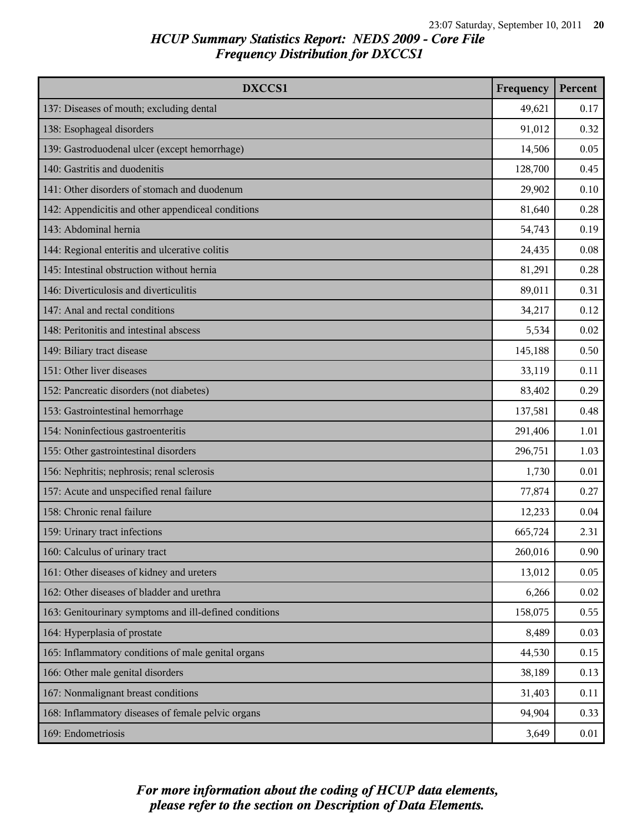| DXCCS1                                                 | Frequency | Percent |
|--------------------------------------------------------|-----------|---------|
| 137: Diseases of mouth; excluding dental               | 49,621    | 0.17    |
| 138: Esophageal disorders                              | 91,012    | 0.32    |
| 139: Gastroduodenal ulcer (except hemorrhage)          | 14,506    | 0.05    |
| 140: Gastritis and duodenitis                          | 128,700   | 0.45    |
| 141: Other disorders of stomach and duodenum           | 29,902    | 0.10    |
| 142: Appendicitis and other appendiceal conditions     | 81,640    | 0.28    |
| 143: Abdominal hernia                                  | 54,743    | 0.19    |
| 144: Regional enteritis and ulcerative colitis         | 24,435    | 0.08    |
| 145: Intestinal obstruction without hernia             | 81,291    | 0.28    |
| 146: Diverticulosis and diverticulitis                 | 89,011    | 0.31    |
| 147: Anal and rectal conditions                        | 34,217    | 0.12    |
| 148: Peritonitis and intestinal abscess                | 5,534     | 0.02    |
| 149: Biliary tract disease                             | 145,188   | 0.50    |
| 151: Other liver diseases                              | 33,119    | 0.11    |
| 152: Pancreatic disorders (not diabetes)               | 83,402    | 0.29    |
| 153: Gastrointestinal hemorrhage                       | 137,581   | 0.48    |
| 154: Noninfectious gastroenteritis                     | 291,406   | 1.01    |
| 155: Other gastrointestinal disorders                  | 296,751   | 1.03    |
| 156: Nephritis; nephrosis; renal sclerosis             | 1,730     | 0.01    |
| 157: Acute and unspecified renal failure               | 77,874    | 0.27    |
| 158: Chronic renal failure                             | 12,233    | 0.04    |
| 159: Urinary tract infections                          | 665,724   | 2.31    |
| 160: Calculus of urinary tract                         | 260,016   | 0.90    |
| 161: Other diseases of kidney and ureters              | 13,012    | 0.05    |
| 162: Other diseases of bladder and urethra             | 6,266     | 0.02    |
| 163: Genitourinary symptoms and ill-defined conditions | 158,075   | 0.55    |
| 164: Hyperplasia of prostate                           | 8,489     | 0.03    |
| 165: Inflammatory conditions of male genital organs    | 44,530    | 0.15    |
| 166: Other male genital disorders                      | 38,189    | 0.13    |
| 167: Nonmalignant breast conditions                    | 31,403    | 0.11    |
| 168: Inflammatory diseases of female pelvic organs     | 94,904    | 0.33    |
| 169: Endometriosis                                     | 3,649     | 0.01    |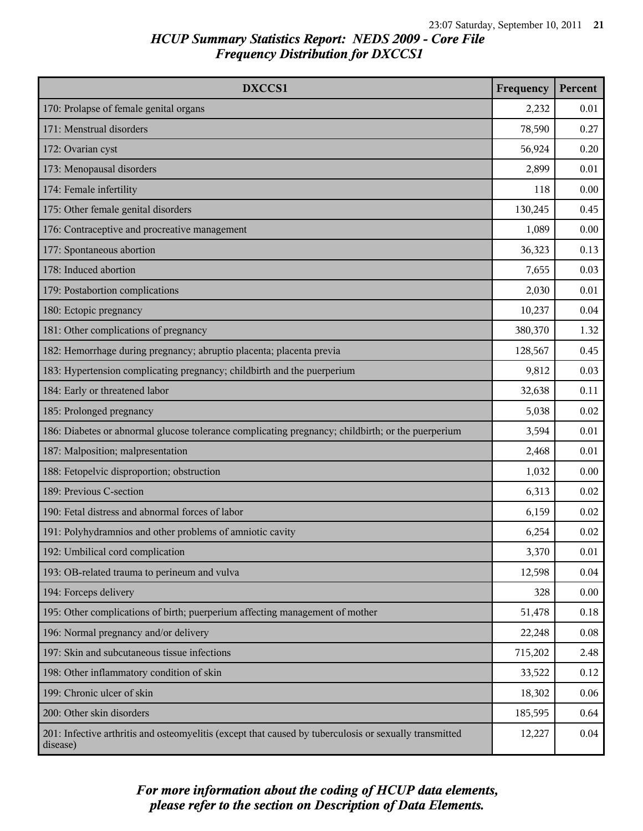| DXCCS1                                                                                                             | Frequency | Percent |
|--------------------------------------------------------------------------------------------------------------------|-----------|---------|
| 170: Prolapse of female genital organs                                                                             | 2,232     | 0.01    |
| 171: Menstrual disorders                                                                                           | 78,590    | 0.27    |
| 172: Ovarian cyst                                                                                                  | 56,924    | 0.20    |
| 173: Menopausal disorders                                                                                          | 2,899     | 0.01    |
| 174: Female infertility                                                                                            | 118       | 0.00    |
| 175: Other female genital disorders                                                                                | 130,245   | 0.45    |
| 176: Contraceptive and procreative management                                                                      | 1,089     | 0.00    |
| 177: Spontaneous abortion                                                                                          | 36,323    | 0.13    |
| 178: Induced abortion                                                                                              | 7,655     | 0.03    |
| 179: Postabortion complications                                                                                    | 2,030     | 0.01    |
| 180: Ectopic pregnancy                                                                                             | 10,237    | 0.04    |
| 181: Other complications of pregnancy                                                                              | 380,370   | 1.32    |
| 182: Hemorrhage during pregnancy; abruptio placenta; placenta previa                                               | 128,567   | 0.45    |
| 183: Hypertension complicating pregnancy; childbirth and the puerperium                                            | 9,812     | 0.03    |
| 184: Early or threatened labor                                                                                     | 32,638    | 0.11    |
| 185: Prolonged pregnancy                                                                                           | 5,038     | 0.02    |
| 186: Diabetes or abnormal glucose tolerance complicating pregnancy; childbirth; or the puerperium                  | 3,594     | 0.01    |
| 187: Malposition; malpresentation                                                                                  | 2,468     | 0.01    |
| 188: Fetopelvic disproportion; obstruction                                                                         | 1,032     | 0.00    |
| 189: Previous C-section                                                                                            | 6,313     | 0.02    |
| 190: Fetal distress and abnormal forces of labor                                                                   | 6,159     | 0.02    |
| 191: Polyhydramnios and other problems of amniotic cavity                                                          | 6,254     | 0.02    |
| 192: Umbilical cord complication                                                                                   | 3,370     | 0.01    |
| 193: OB-related trauma to perineum and vulva                                                                       | 12,598    | 0.04    |
| 194: Forceps delivery                                                                                              | 328       | 0.00    |
| 195: Other complications of birth; puerperium affecting management of mother                                       | 51,478    | 0.18    |
| 196: Normal pregnancy and/or delivery                                                                              | 22,248    | 0.08    |
| 197: Skin and subcutaneous tissue infections                                                                       | 715,202   | 2.48    |
| 198: Other inflammatory condition of skin                                                                          | 33,522    | 0.12    |
| 199: Chronic ulcer of skin                                                                                         | 18,302    | 0.06    |
| 200: Other skin disorders                                                                                          | 185,595   | 0.64    |
| 201: Infective arthritis and osteomyelitis (except that caused by tuberculosis or sexually transmitted<br>disease) | 12,227    | 0.04    |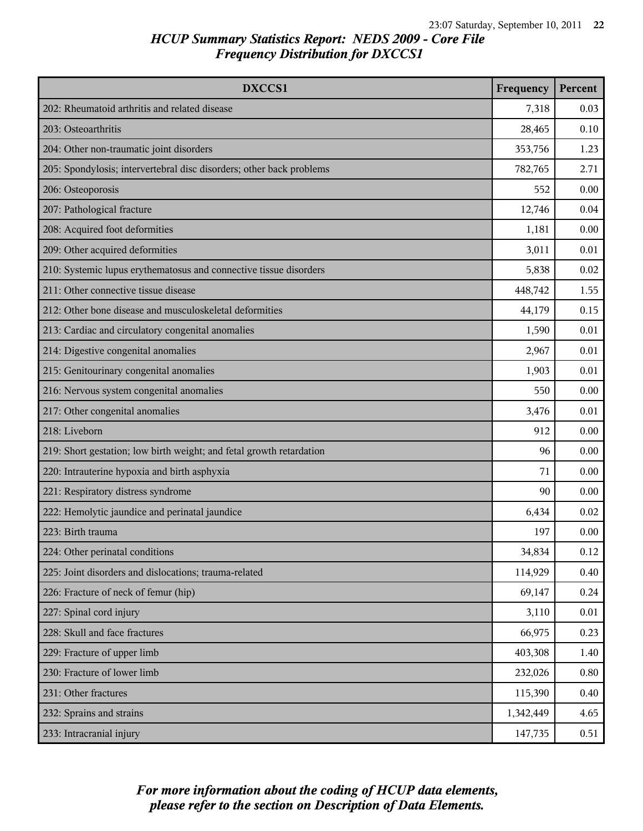| DXCCS1                                                               | Frequency | Percent |
|----------------------------------------------------------------------|-----------|---------|
| 202: Rheumatoid arthritis and related disease                        | 7,318     | 0.03    |
| 203: Osteoarthritis                                                  | 28,465    | 0.10    |
| 204: Other non-traumatic joint disorders                             | 353,756   | 1.23    |
| 205: Spondylosis; intervertebral disc disorders; other back problems | 782,765   | 2.71    |
| 206: Osteoporosis                                                    | 552       | 0.00    |
| 207: Pathological fracture                                           | 12,746    | 0.04    |
| 208: Acquired foot deformities                                       | 1,181     | 0.00    |
| 209: Other acquired deformities                                      | 3,011     | 0.01    |
| 210: Systemic lupus erythematosus and connective tissue disorders    | 5,838     | 0.02    |
| 211: Other connective tissue disease                                 | 448,742   | 1.55    |
| 212: Other bone disease and musculoskeletal deformities              | 44,179    | 0.15    |
| 213: Cardiac and circulatory congenital anomalies                    | 1,590     | 0.01    |
| 214: Digestive congenital anomalies                                  | 2,967     | 0.01    |
| 215: Genitourinary congenital anomalies                              | 1,903     | 0.01    |
| 216: Nervous system congenital anomalies                             | 550       | 0.00    |
| 217: Other congenital anomalies                                      | 3,476     | 0.01    |
| 218: Liveborn                                                        | 912       | 0.00    |
| 219: Short gestation; low birth weight; and fetal growth retardation | 96        | 0.00    |
| 220: Intrauterine hypoxia and birth asphyxia                         | 71        | 0.00    |
| 221: Respiratory distress syndrome                                   | 90        | 0.00    |
| 222: Hemolytic jaundice and perinatal jaundice                       | 6,434     | 0.02    |
| 223: Birth trauma                                                    | 197       | 0.00    |
| 224: Other perinatal conditions                                      | 34,834    | 0.12    |
| 225: Joint disorders and dislocations; trauma-related                | 114,929   | 0.40    |
| 226: Fracture of neck of femur (hip)                                 | 69,147    | 0.24    |
| 227: Spinal cord injury                                              | 3,110     | 0.01    |
| 228: Skull and face fractures                                        | 66,975    | 0.23    |
| 229: Fracture of upper limb                                          | 403,308   | 1.40    |
| 230: Fracture of lower limb                                          | 232,026   | 0.80    |
| 231: Other fractures                                                 | 115,390   | 0.40    |
| 232: Sprains and strains                                             | 1,342,449 | 4.65    |
| 233: Intracranial injury                                             | 147,735   | 0.51    |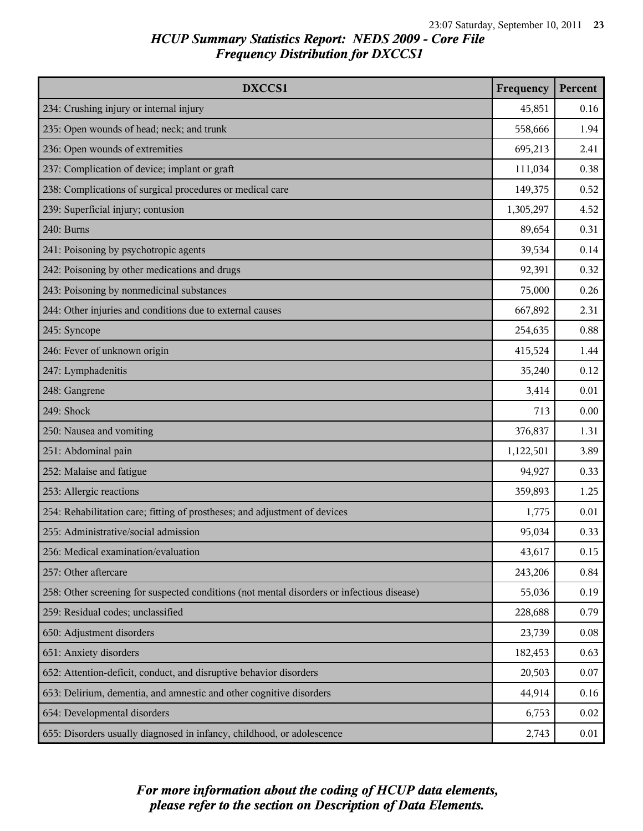| DXCCS1                                                                                     | Frequency | Percent |
|--------------------------------------------------------------------------------------------|-----------|---------|
| 234: Crushing injury or internal injury                                                    | 45,851    | 0.16    |
| 235: Open wounds of head; neck; and trunk                                                  | 558,666   | 1.94    |
| 236: Open wounds of extremities                                                            | 695,213   | 2.41    |
| 237: Complication of device; implant or graft                                              | 111,034   | 0.38    |
| 238: Complications of surgical procedures or medical care                                  | 149,375   | 0.52    |
| 239: Superficial injury; contusion                                                         | 1,305,297 | 4.52    |
| 240: Burns                                                                                 | 89,654    | 0.31    |
| 241: Poisoning by psychotropic agents                                                      | 39,534    | 0.14    |
| 242: Poisoning by other medications and drugs                                              | 92,391    | 0.32    |
| 243: Poisoning by nonmedicinal substances                                                  | 75,000    | 0.26    |
| 244: Other injuries and conditions due to external causes                                  | 667,892   | 2.31    |
| 245: Syncope                                                                               | 254,635   | 0.88    |
| 246: Fever of unknown origin                                                               | 415,524   | 1.44    |
| 247: Lymphadenitis                                                                         | 35,240    | 0.12    |
| 248: Gangrene                                                                              | 3,414     | 0.01    |
| 249: Shock                                                                                 | 713       | 0.00    |
| 250: Nausea and vomiting                                                                   | 376,837   | 1.31    |
| 251: Abdominal pain                                                                        | 1,122,501 | 3.89    |
| 252: Malaise and fatigue                                                                   | 94,927    | 0.33    |
| 253: Allergic reactions                                                                    | 359,893   | 1.25    |
| 254: Rehabilitation care; fitting of prostheses; and adjustment of devices                 | 1,775     | 0.01    |
| 255: Administrative/social admission                                                       | 95,034    | 0.33    |
| 256: Medical examination/evaluation                                                        | 43,617    | 0.15    |
| 257: Other aftercare                                                                       | 243,206   | 0.84    |
| 258: Other screening for suspected conditions (not mental disorders or infectious disease) | 55,036    | 0.19    |
| 259: Residual codes; unclassified                                                          | 228,688   | 0.79    |
| 650: Adjustment disorders                                                                  | 23,739    | 0.08    |
| 651: Anxiety disorders                                                                     | 182,453   | 0.63    |
| 652: Attention-deficit, conduct, and disruptive behavior disorders                         | 20,503    | 0.07    |
| 653: Delirium, dementia, and amnestic and other cognitive disorders                        | 44,914    | 0.16    |
| 654: Developmental disorders                                                               | 6,753     | 0.02    |
| 655: Disorders usually diagnosed in infancy, childhood, or adolescence                     | 2,743     | 0.01    |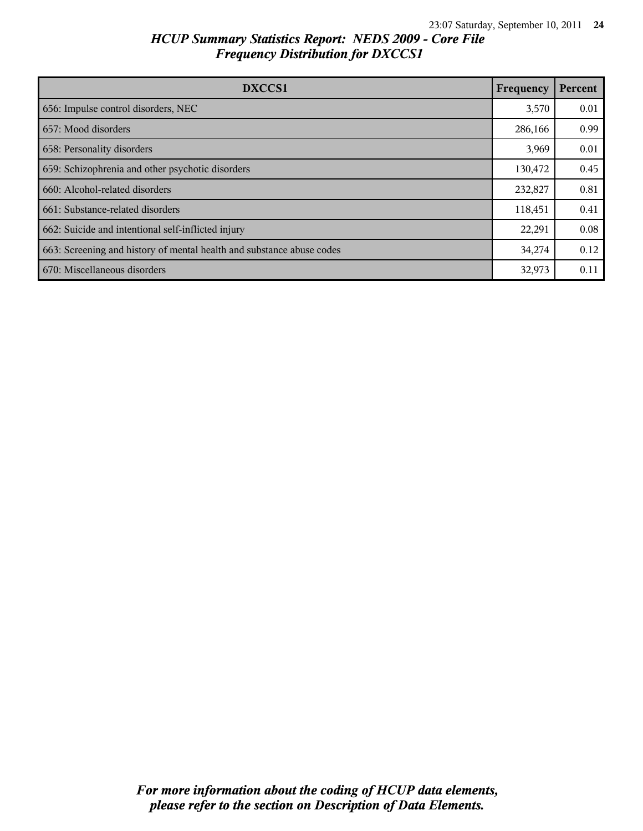| DXCCS1                                                                | Frequency | Percent |
|-----------------------------------------------------------------------|-----------|---------|
| 656: Impulse control disorders, NEC                                   | 3,570     | 0.01    |
| 657: Mood disorders                                                   | 286,166   | 0.99    |
| 658: Personality disorders                                            | 3,969     | 0.01    |
| 659: Schizophrenia and other psychotic disorders                      | 130,472   | 0.45    |
| 660: Alcohol-related disorders                                        | 232,827   | 0.81    |
| 661: Substance-related disorders                                      | 118,451   | 0.41    |
| 662: Suicide and intentional self-inflicted injury                    | 22,291    | 0.08    |
| 663: Screening and history of mental health and substance abuse codes | 34,274    | 0.12    |
| 670: Miscellaneous disorders                                          | 32,973    | 0.11    |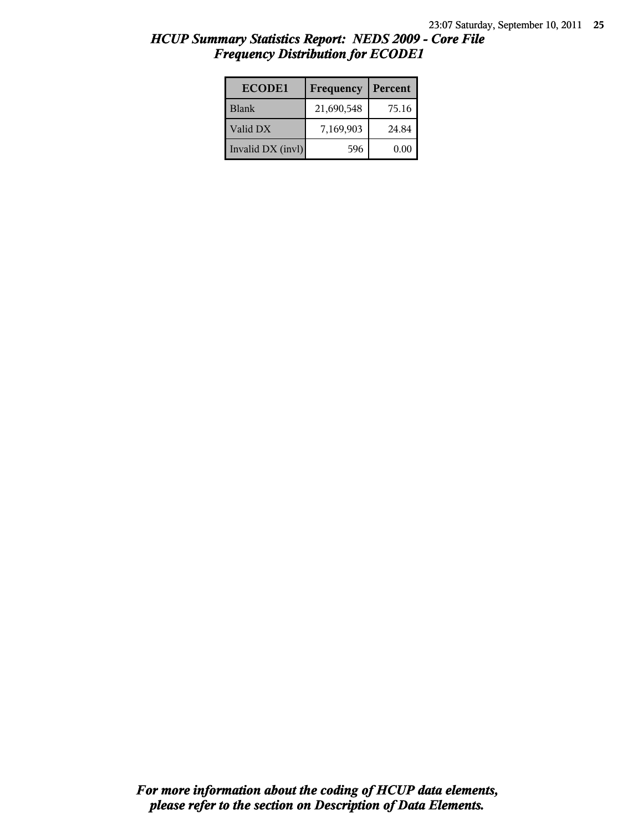| <b>ECODE1</b>     | Frequency  | Percent |
|-------------------|------------|---------|
| <b>Blank</b>      | 21,690,548 | 75.16   |
| Valid DX          | 7,169,903  | 24.84   |
| Invalid DX (invl) | 596        | 0.00    |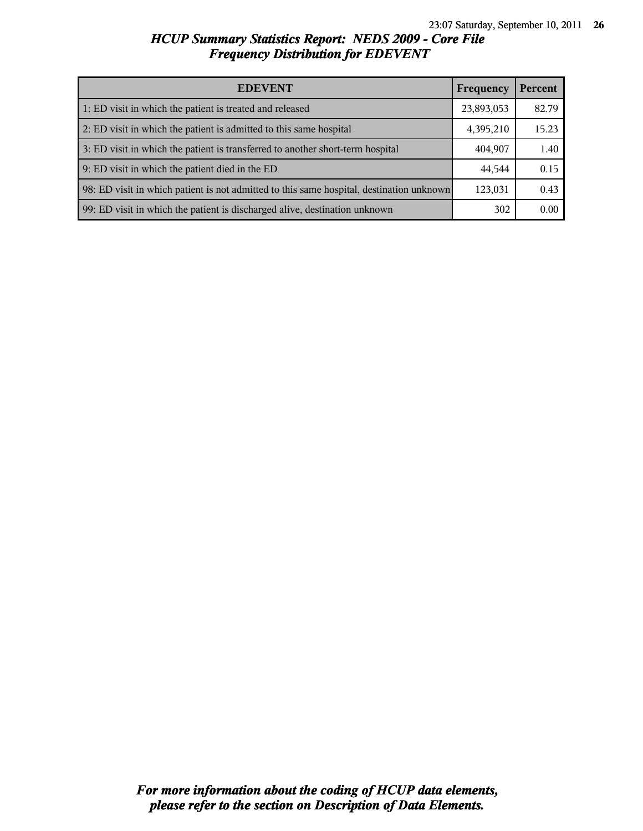| <b>EDEVENT</b>                                                                           |           | Percent |
|------------------------------------------------------------------------------------------|-----------|---------|
| 1: ED visit in which the patient is treated and released                                 |           | 82.79   |
| 2: ED visit in which the patient is admitted to this same hospital                       | 4,395,210 | 15.23   |
| 3: ED visit in which the patient is transferred to another short-term hospital           |           | 1.40    |
| 9: ED visit in which the patient died in the ED                                          |           | 0.15    |
| 98: ED visit in which patient is not admitted to this same hospital, destination unknown | 123,031   | 0.43    |
| 99: ED visit in which the patient is discharged alive, destination unknown               | 302       | 0.00    |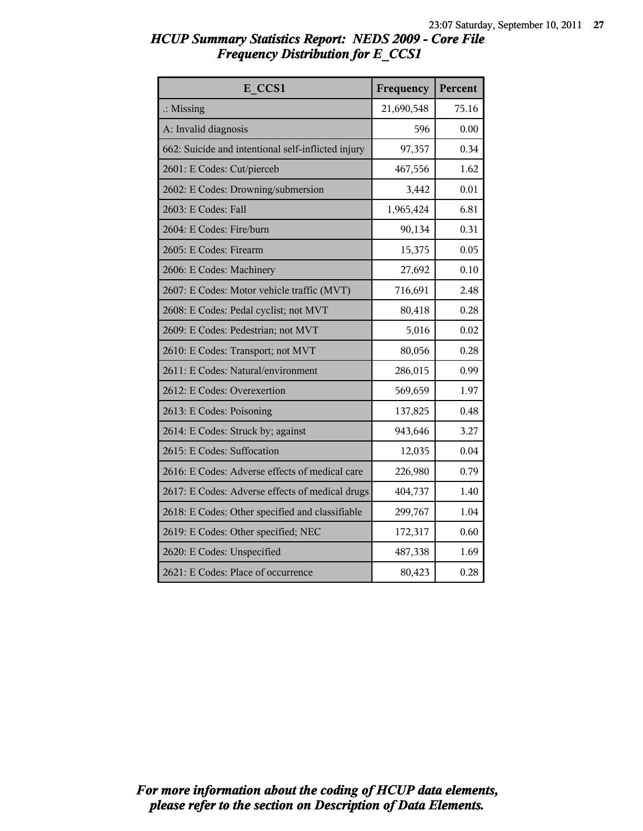| <b>HCUP Summary Statistics Report: NEDS 2009 - Core File</b> |  |  |
|--------------------------------------------------------------|--|--|
| <b>Frequency Distribution for E CCS1</b>                     |  |  |

| E CCS1                                             | Frequency  | Percent |
|----------------------------------------------------|------------|---------|
| $\therefore$ Missing                               | 21,690,548 | 75.16   |
| A: Invalid diagnosis                               | 596        | 0.00    |
| 662: Suicide and intentional self-inflicted injury | 97,357     | 0.34    |
| 2601: E Codes: Cut/pierceb                         | 467,556    | 1.62    |
| 2602: E Codes: Drowning/submersion                 | 3,442      | 0.01    |
| 2603: E Codes: Fall                                | 1,965,424  | 6.81    |
| 2604: E Codes: Fire/burn                           | 90,134     | 0.31    |
| 2605: E Codes: Firearm                             | 15,375     | 0.05    |
| 2606: E Codes: Machinery                           | 27,692     | 0.10    |
| 2607: E Codes: Motor vehicle traffic (MVT)         | 716,691    | 2.48    |
| 2608: E Codes: Pedal cyclist; not MVT              | 80,418     | 0.28    |
| 2609: E Codes: Pedestrian; not MVT                 | 5,016      | 0.02    |
| 2610: E Codes: Transport; not MVT                  | 80,056     | 0.28    |
| 2611: E Codes: Natural/environment                 | 286,015    | 0.99    |
| 2612: E Codes: Overexertion                        | 569,659    | 1.97    |
| 2613: E Codes: Poisoning                           | 137,825    | 0.48    |
| 2614: E Codes: Struck by; against                  | 943,646    | 3.27    |
| 2615: E Codes: Suffocation                         | 12,035     | 0.04    |
| 2616: E Codes: Adverse effects of medical care     | 226,980    | 0.79    |
| 2617: E Codes: Adverse effects of medical drugs    | 404,737    | 1.40    |
| 2618: E Codes: Other specified and classifiable    | 299,767    | 1.04    |
| 2619: E Codes: Other specified; NEC                | 172,317    | 0.60    |
| 2620: E Codes: Unspecified                         | 487,338    | 1.69    |
| 2621: E Codes: Place of occurrence                 | 80,423     | 0.28    |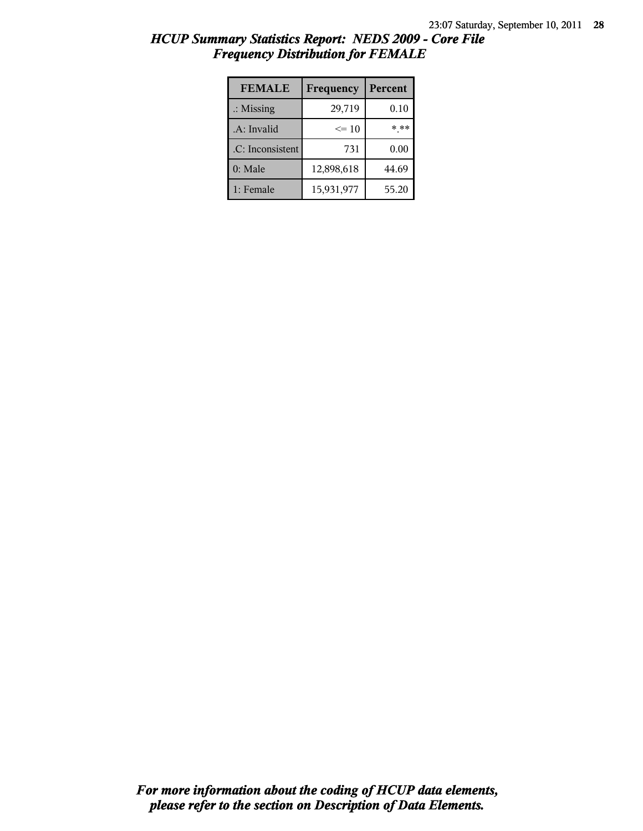| <b>FEMALE</b>        | Frequency  | Percent |
|----------------------|------------|---------|
| $\therefore$ Missing | 29,719     | 0.10    |
| .A: Invalid          | $\leq 10$  | * **    |
| .C: Inconsistent     | 731        | 0.00    |
| 0: Male              | 12,898,618 | 44.69   |
| 1: Female            | 15,931,977 | 55.20   |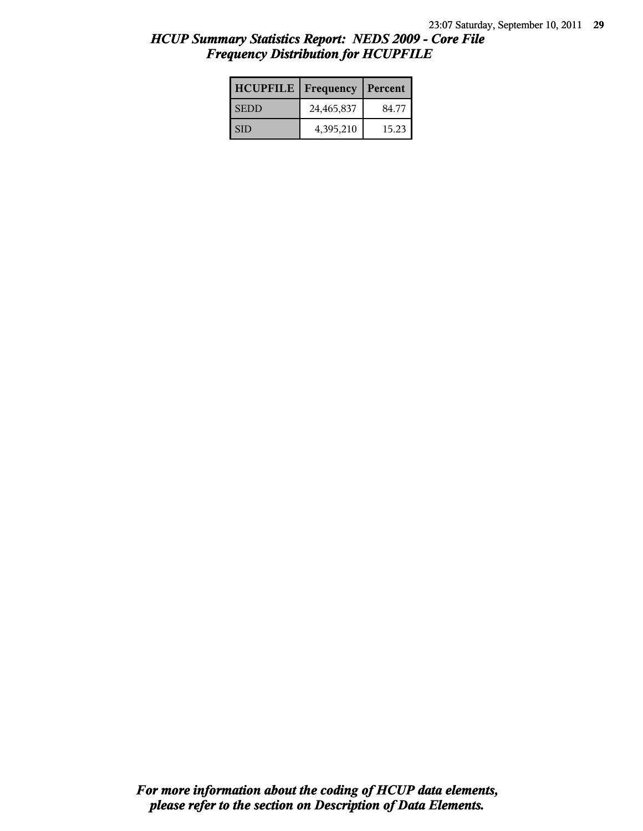| <b>HCUPFILE</b> | Frequency  | Percent |
|-----------------|------------|---------|
| <b>SEDD</b>     | 24,465,837 | 84.77   |
| <b>SID</b>      | 4,395,210  | 15.23   |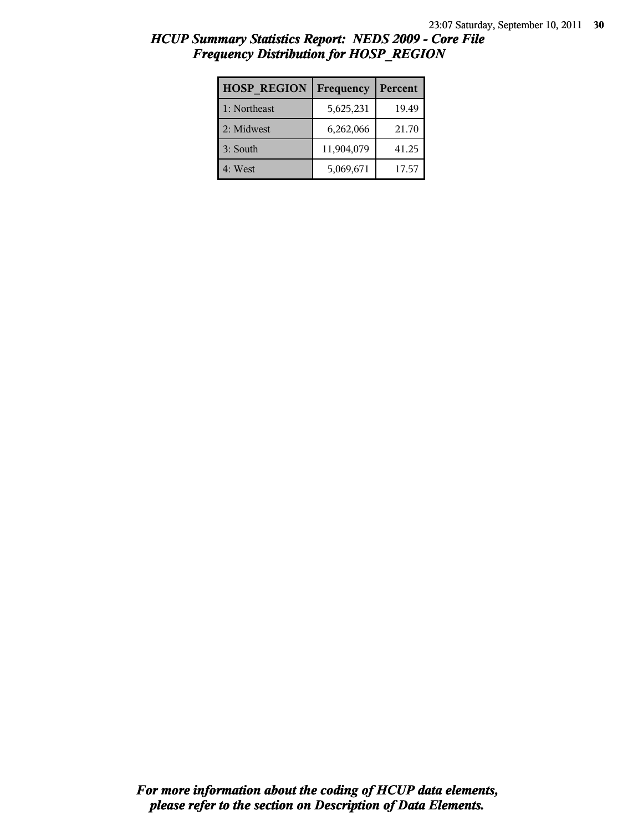| <b>HOSP REGION</b> | Frequency  | Percent |
|--------------------|------------|---------|
| 1: Northeast       | 5,625,231  | 19.49   |
| 2: Midwest         | 6,262,066  | 21.70   |
| 3: South           | 11,904,079 | 41.25   |
| 4: West            | 5,069,671  | 17.57   |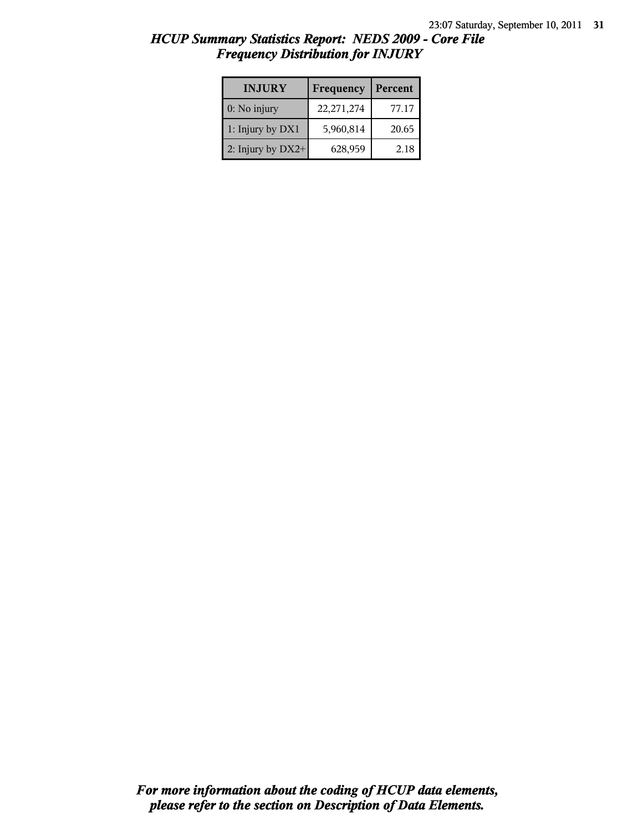| <b>INJURY</b>       | Frequency    | Percent |
|---------------------|--------------|---------|
| $0:$ No injury      | 22, 271, 274 | 77.17   |
| 1: Injury by DX1    | 5,960,814    | 20.65   |
| 2: Injury by $DX2+$ | 628,959      | 2.18    |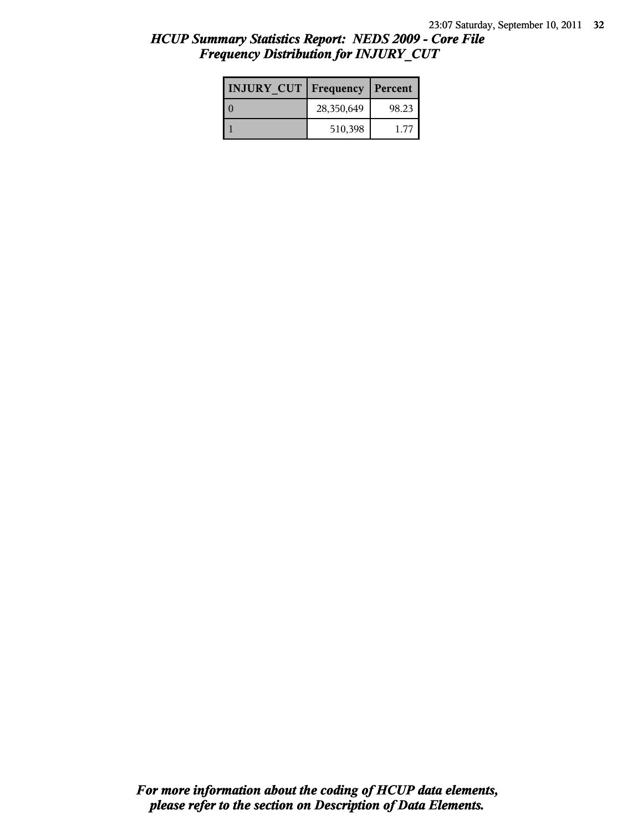| <b>INJURY CUT   Frequency</b> |            | Percent |
|-------------------------------|------------|---------|
|                               | 28,350,649 | 98.23   |
|                               | 510,398    | 1.77    |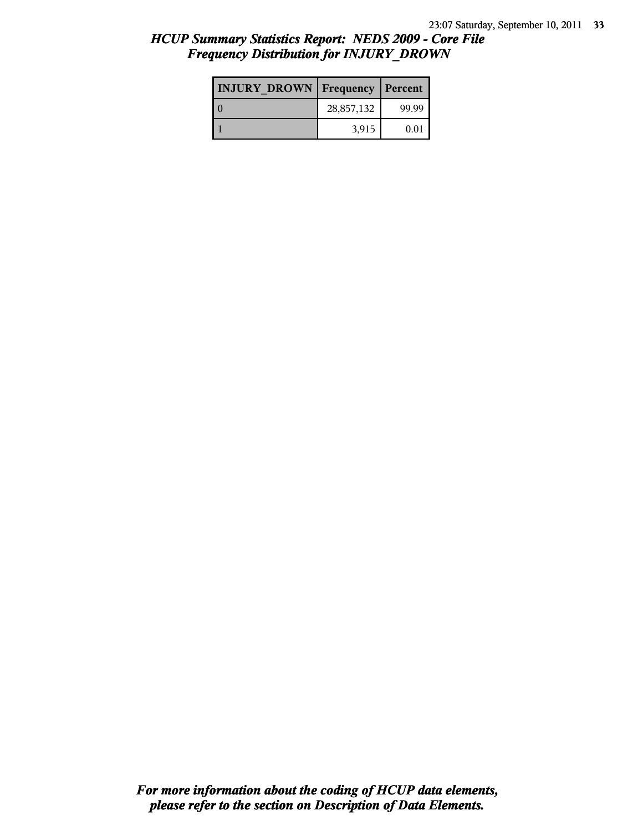| <b>INJURY DROWN   Frequency   Percent</b> |            |       |
|-------------------------------------------|------------|-------|
|                                           | 28,857,132 | 99.99 |
|                                           | 3,915      | 0.01  |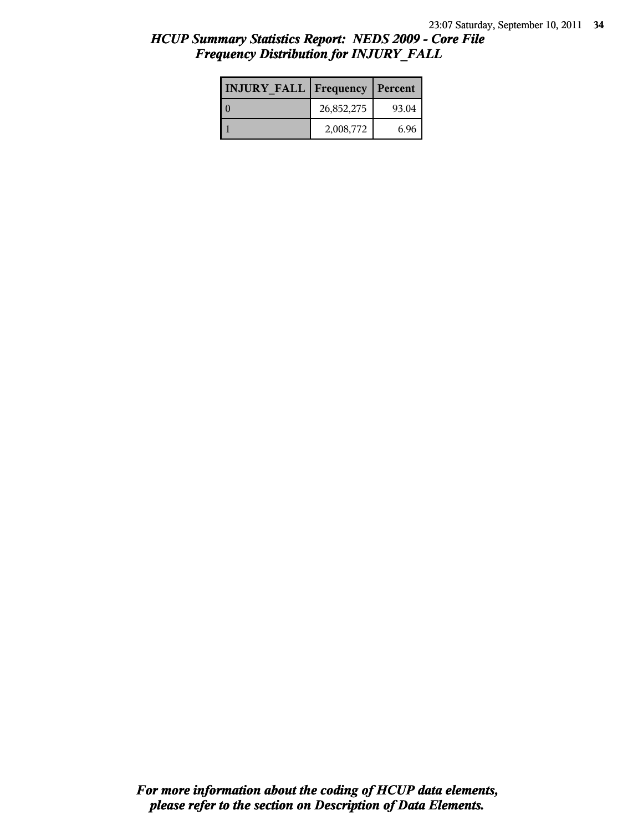| <b>INJURY FALL   Frequency   Percent</b> |            |       |
|------------------------------------------|------------|-------|
|                                          | 26,852,275 | 93.04 |
|                                          | 2,008,772  | 6.96  |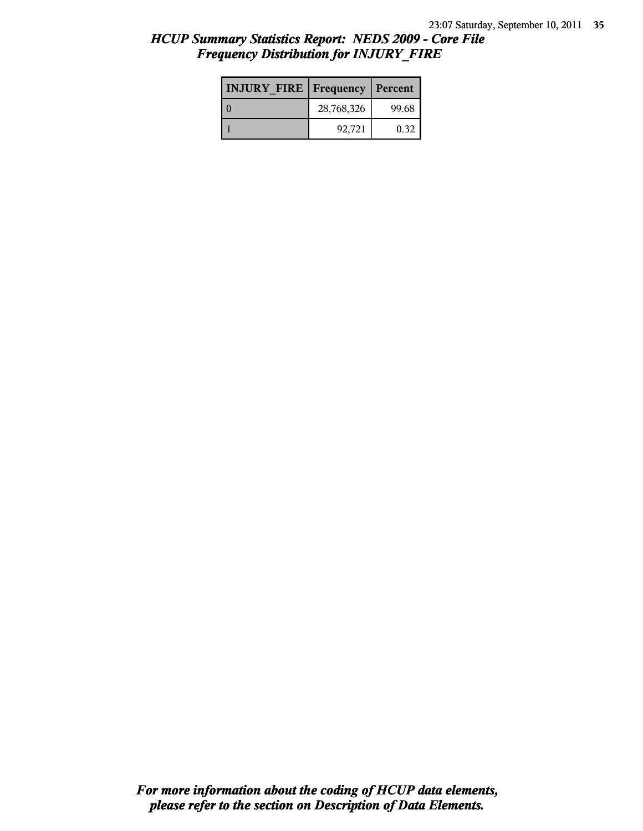| <b>INJURY FIRE   Frequency   Percent</b> |            |       |
|------------------------------------------|------------|-------|
|                                          | 28,768,326 | 99.68 |
|                                          | 92.721     | 0.32  |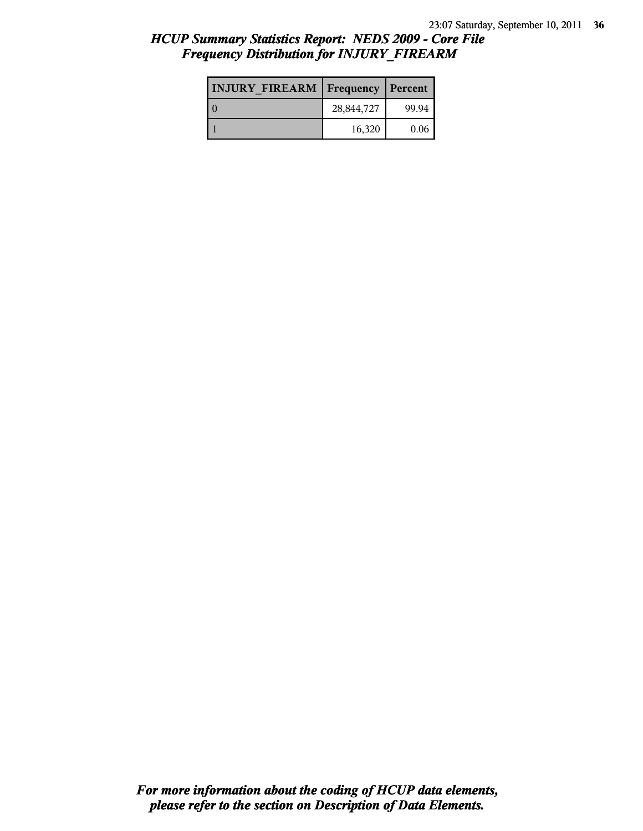| <b>INJURY FIREARM   Frequency</b> |            | Percent |
|-----------------------------------|------------|---------|
|                                   | 28,844,727 | 99.94   |
|                                   | 16,320     | 0.06    |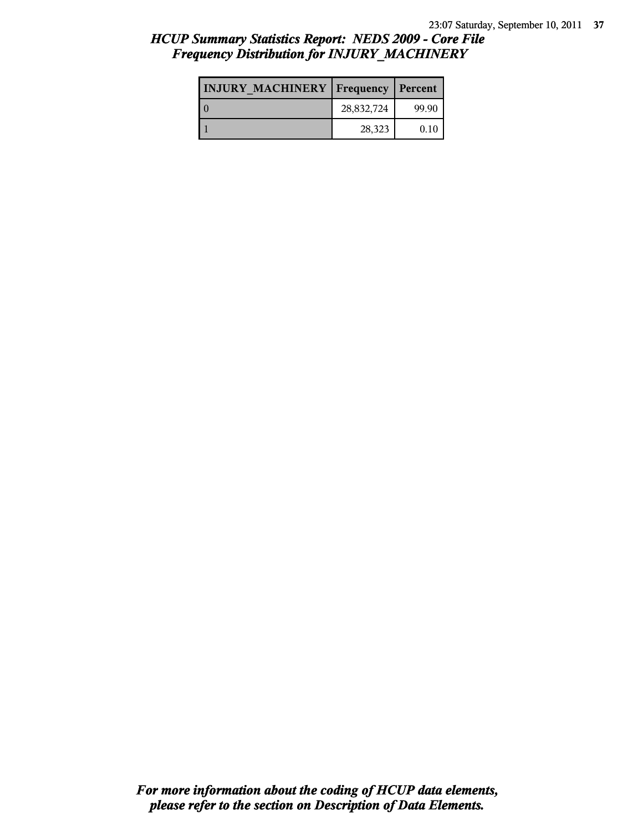| <b>INJURY MACHINERY   Frequency   Percent</b> |            |       |
|-----------------------------------------------|------------|-------|
|                                               | 28,832,724 | 99.90 |
|                                               | 28,323     | 0.10  |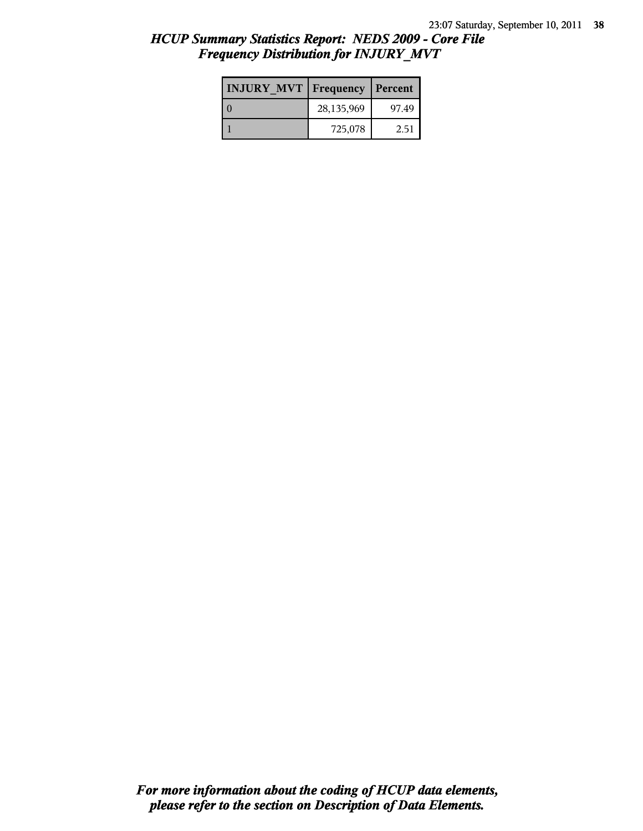| <b>INJURY MVT</b> | Frequency   Percent |       |
|-------------------|---------------------|-------|
|                   | 28,135,969          | 97.49 |
|                   | 725,078             | 2.51  |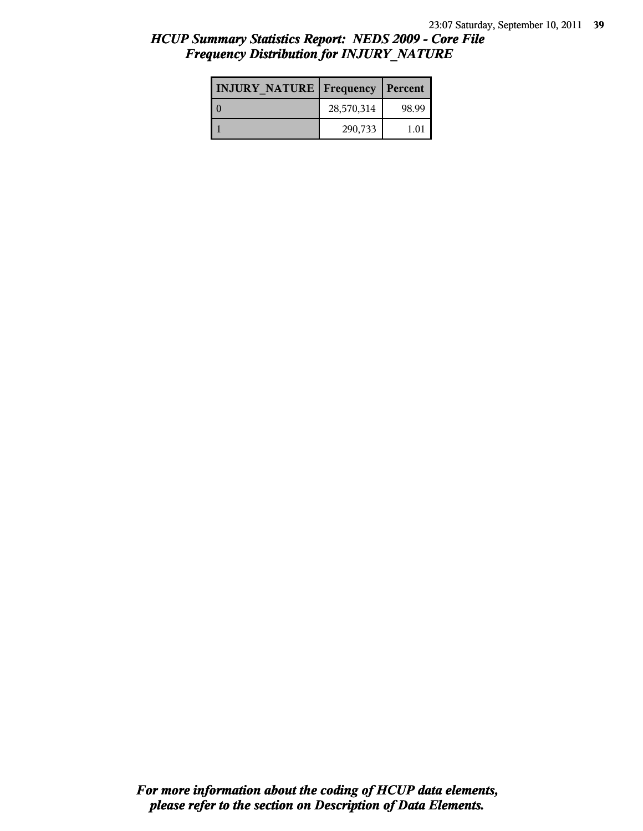| <b>INJURY NATURE Frequency</b> |            | Percent |
|--------------------------------|------------|---------|
|                                | 28,570,314 | 98.99   |
|                                | 290,733    | 1.01    |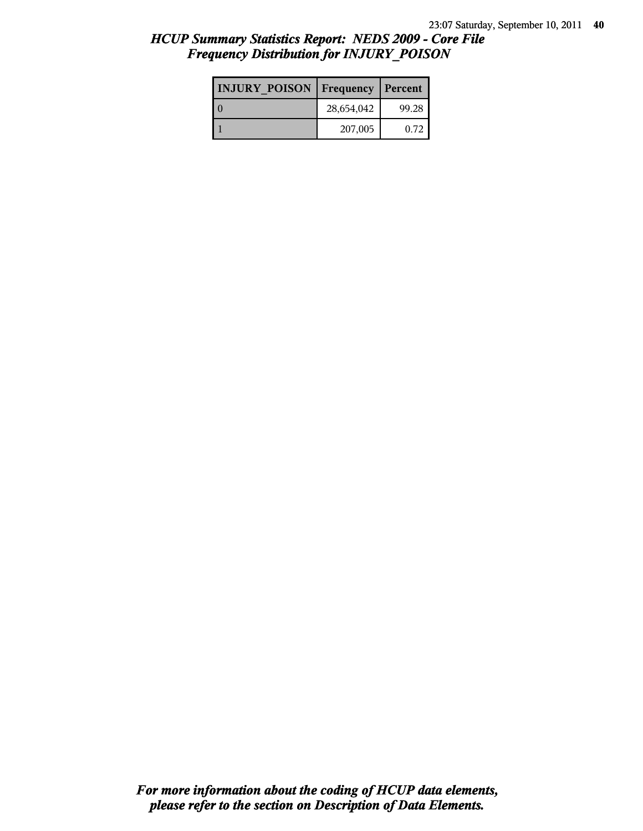| <b>INJURY POISON</b> | Frequency  | Percent |
|----------------------|------------|---------|
|                      | 28,654,042 | 99.28   |
|                      | 207,005    | 0.72    |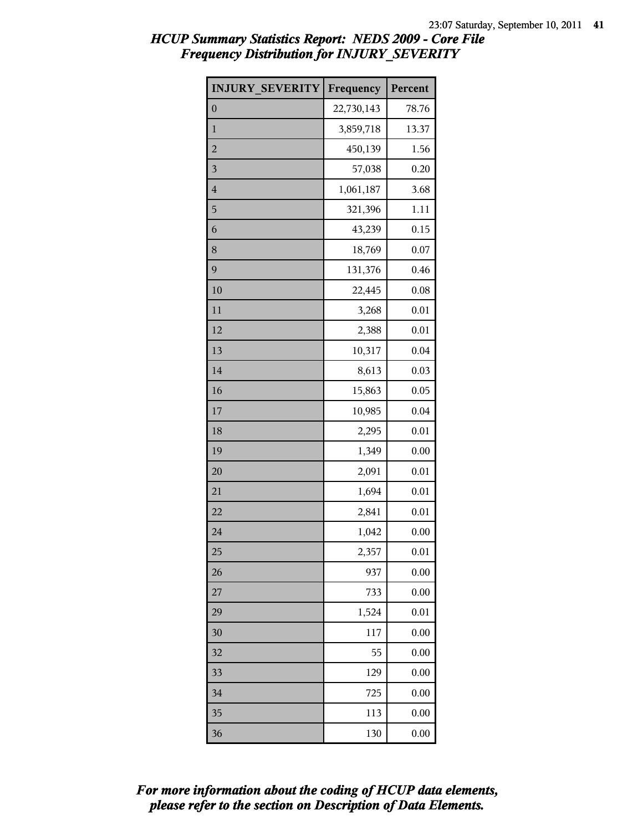| <b>INJURY SEVERITY</b> | Frequency  | Percent |
|------------------------|------------|---------|
| $\boldsymbol{0}$       | 22,730,143 | 78.76   |
| $\mathbf{1}$           | 3,859,718  | 13.37   |
| $\overline{c}$         | 450,139    | 1.56    |
| 3                      | 57,038     | 0.20    |
| $\overline{4}$         | 1,061,187  | 3.68    |
| 5                      | 321,396    | 1.11    |
| 6                      | 43,239     | 0.15    |
| 8                      | 18,769     | 0.07    |
| 9                      | 131,376    | 0.46    |
| 10                     | 22,445     | 0.08    |
| 11                     | 3,268      | 0.01    |
| 12                     | 2,388      | 0.01    |
| 13                     | 10,317     | 0.04    |
| 14                     | 8,613      | 0.03    |
| 16                     | 15,863     | 0.05    |
| 17                     | 10,985     | 0.04    |
| 18                     | 2,295      | 0.01    |
| 19                     | 1,349      | 0.00    |
| 20                     | 2,091      | 0.01    |
| 21                     | 1,694      | 0.01    |
| 22                     | 2,841      | 0.01    |
| 24                     | 1,042      | 0.00    |
| 25                     | 2,357      | 0.01    |
| 26                     | 937        | 0.00    |
| 27                     | 733        | 0.00    |
| 29                     | 1,524      | 0.01    |
| 30                     | 117        | 0.00    |
| 32                     | 55         | 0.00    |
| 33                     | 129        | 0.00    |
| 34                     | 725        | 0.00    |
| 35                     | 113        | 0.00    |
| 36                     | 130        | 0.00    |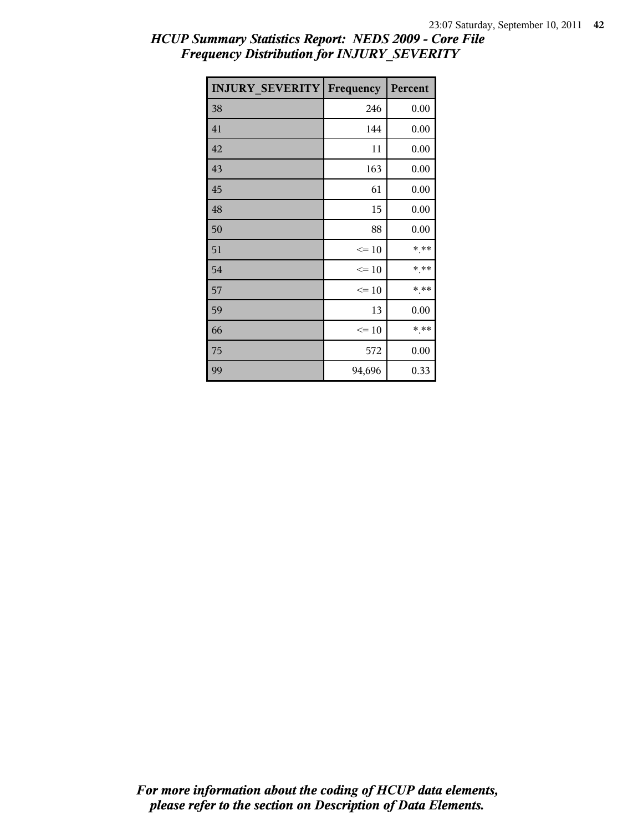| <b>INJURY SEVERITY</b> | Frequency | Percent |
|------------------------|-----------|---------|
| 38                     | 246       | 0.00    |
| 41                     | 144       | 0.00    |
| 42                     | 11        | 0.00    |
| 43                     | 163       | 0.00    |
| 45                     | 61        | 0.00    |
| 48                     | 15        | 0.00    |
| 50                     | 88        | 0.00    |
| 51                     | $\leq 10$ | * **    |
| 54                     | $\leq 10$ | * **    |
| 57                     | $\leq 10$ | * **    |
| 59                     | 13        | 0.00    |
| 66                     | $\leq 10$ | $***$   |
| 75                     | 572       | 0.00    |
| 99                     | 94,696    | 0.33    |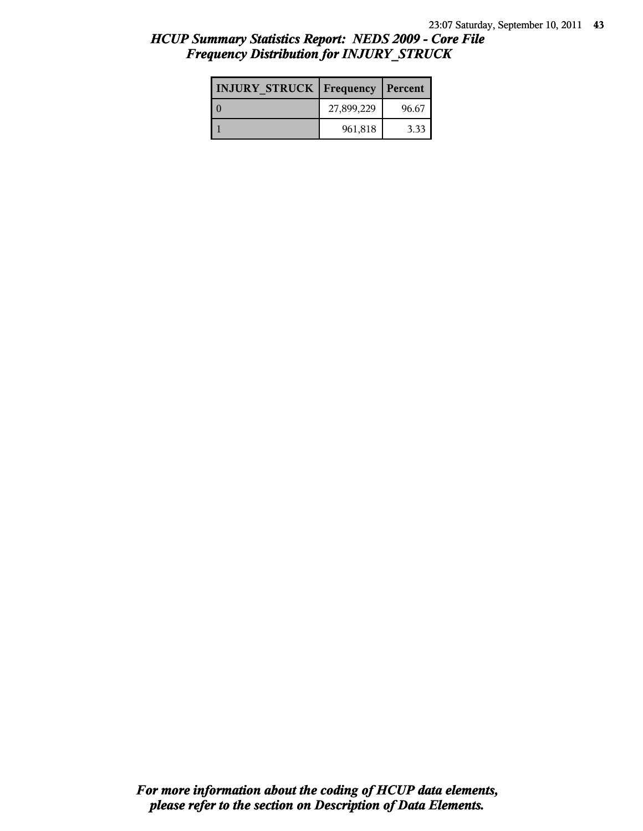| <b>INJURY STRUCK Frequency</b> |            | Percent |
|--------------------------------|------------|---------|
|                                | 27,899,229 | 96.67   |
|                                | 961,818    | 3.33    |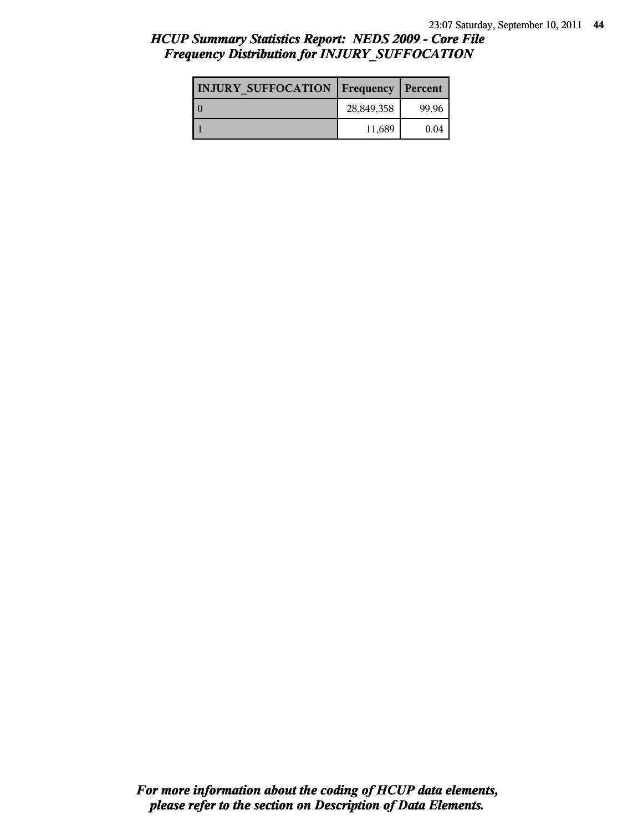# *HCUP Summary Statistics Report: NEDS 2009 - Core File Frequency Distribution for INJURY\_SUFFOCATION*

| <b>INJURY SUFFOCATION   Frequency   Percent</b> |            |       |
|-------------------------------------------------|------------|-------|
|                                                 | 28,849,358 | 99.96 |
|                                                 | 11,689     | 0.04  |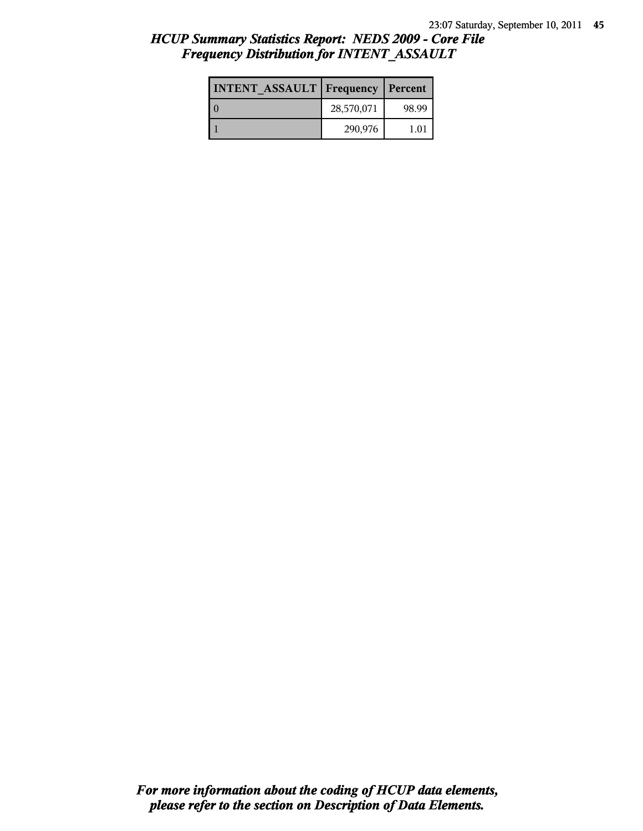| <b>INTENT ASSAULT Frequency</b> |            | Percent       |
|---------------------------------|------------|---------------|
|                                 | 28,570,071 | 98.99         |
|                                 | 290,976    | $1.0^{\circ}$ |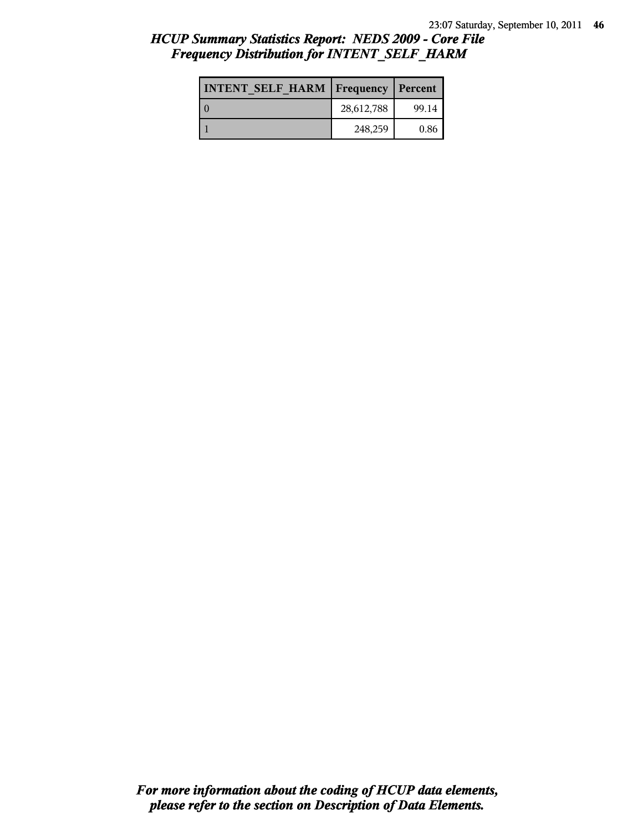| <b>INTENT SELF HARM   Frequency   Percent</b> |            |       |
|-----------------------------------------------|------------|-------|
| l 0                                           | 28,612,788 | 99.14 |
|                                               | 248,259    | 0.86  |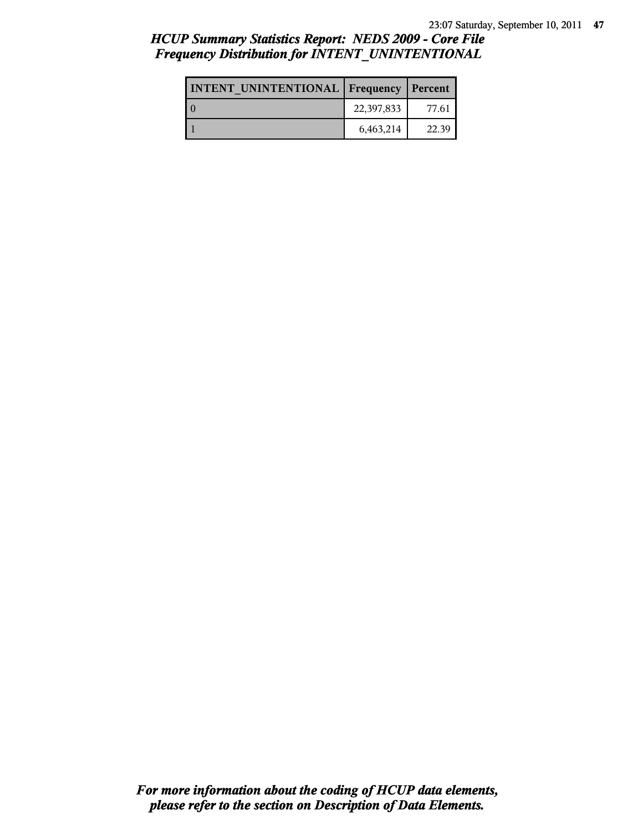# *HCUP Summary Statistics Report: NEDS 2009 - Core File Frequency Distribution for INTENT\_UNINTENTIONAL*

| <b>INTENT UNINTENTIONAL   Frequency   Percent</b> |            |       |
|---------------------------------------------------|------------|-------|
|                                                   | 22,397,833 | 77.61 |
|                                                   | 6,463,214  | 22.39 |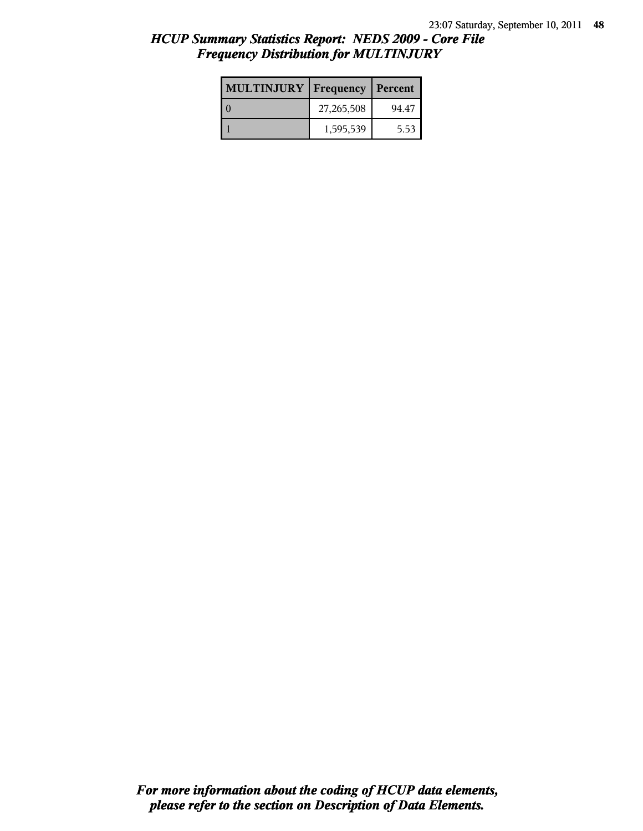| <b>MULTINJURY</b> | Frequency  | Percent |
|-------------------|------------|---------|
|                   | 27,265,508 | 94.47   |
|                   | 1,595,539  | 5.53    |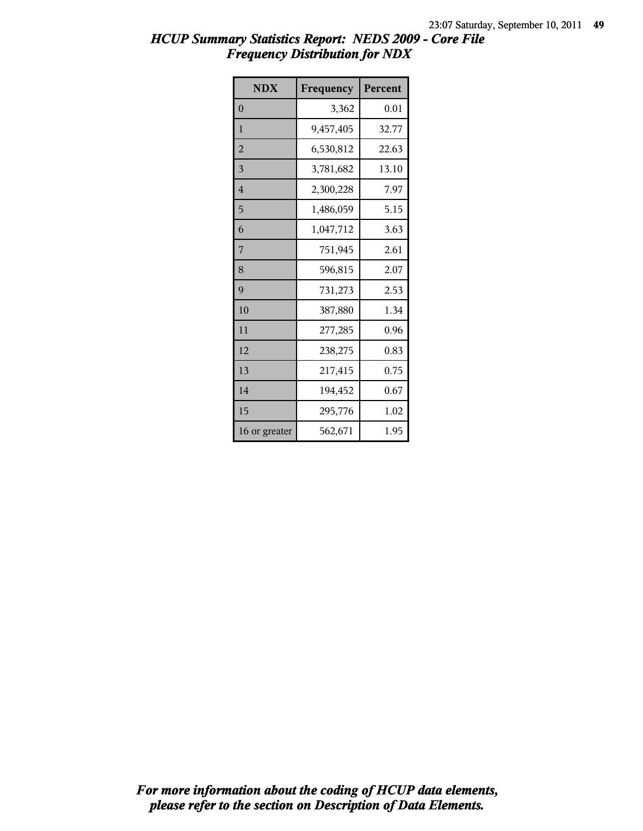| <b>NDX</b>     | Frequency | Percent |
|----------------|-----------|---------|
| $\theta$       | 3,362     | 0.01    |
| 1              | 9,457,405 | 32.77   |
| $\overline{2}$ | 6,530,812 | 22.63   |
| 3              | 3,781,682 | 13.10   |
| $\overline{4}$ | 2,300,228 | 7.97    |
| 5              | 1,486,059 | 5.15    |
| 6              | 1,047,712 | 3.63    |
| 7              | 751,945   | 2.61    |
| 8              | 596,815   | 2.07    |
| 9              | 731,273   | 2.53    |
| 10             | 387,880   | 1.34    |
| 11             | 277,285   | 0.96    |
| 12             | 238,275   | 0.83    |
| 13             | 217,415   | 0.75    |
| 14             | 194,452   | 0.67    |
| 15             | 295,776   | 1.02    |
| 16 or greater  | 562,671   | 1.95    |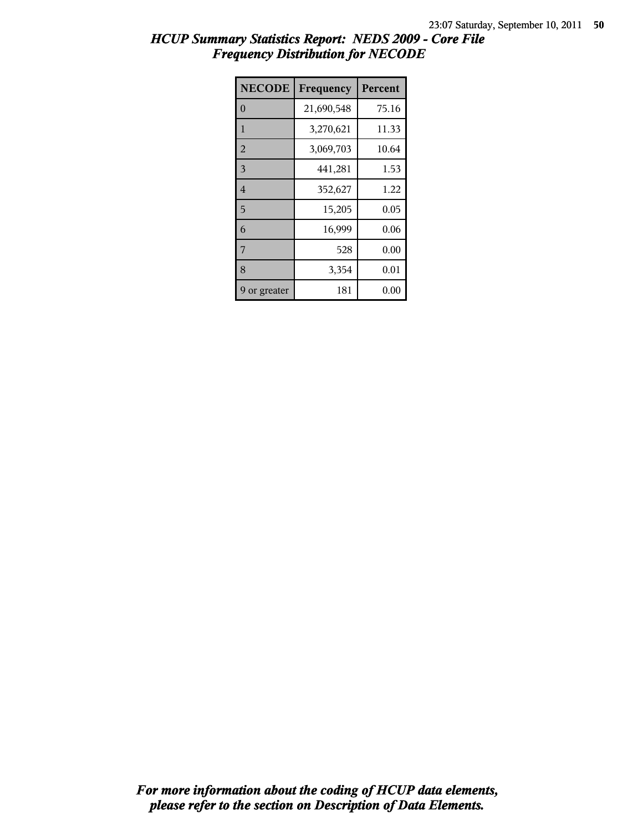| <b>NECODE</b>  | Frequency  | Percent |
|----------------|------------|---------|
| $\theta$       | 21,690,548 | 75.16   |
| $\mathbf{1}$   | 3,270,621  | 11.33   |
| $\overline{2}$ | 3,069,703  | 10.64   |
| $\overline{3}$ | 441,281    | 1.53    |
| $\overline{4}$ | 352,627    | 1.22    |
| 5              | 15,205     | 0.05    |
| 6              | 16,999     | 0.06    |
| 7              | 528        | 0.00    |
| 8              | 3,354      | 0.01    |
| or greater     | 181        | 0.00    |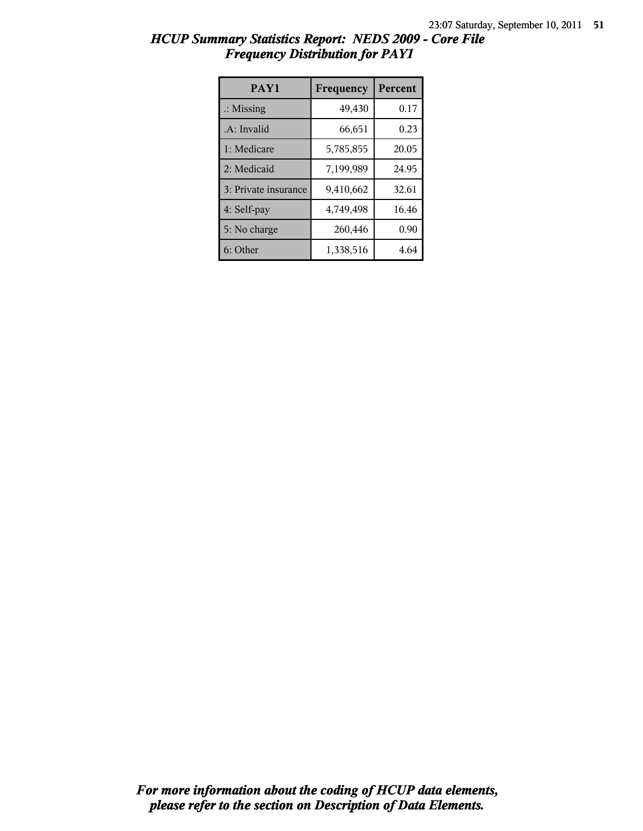| HCUP Summary Statistics Report: NEDS 2009 - Core File |  |
|-------------------------------------------------------|--|
| <b>Frequency Distribution for PAY1</b>                |  |

| PAY1                 | Frequency | <b>Percent</b> |
|----------------------|-----------|----------------|
| $\therefore$ Missing | 49,430    | 0.17           |
| .A: Invalid          | 66,651    | 0.23           |
| 1: Medicare          | 5,785,855 | 20.05          |
| 2: Medicaid          | 7,199,989 | 24.95          |
| 3: Private insurance | 9,410,662 | 32.61          |
| 4: Self-pay          | 4,749,498 | 16.46          |
| 5: No charge         | 260,446   | 0.90           |
| 6: Other             | 1,338,516 | 4.64           |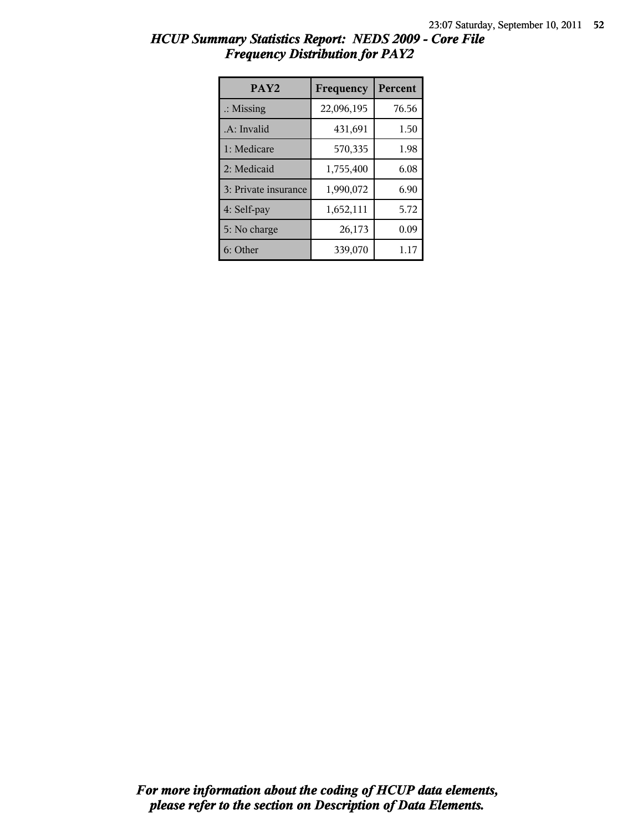| HCUP Summary Statistics Report: NEDS 2009 - Core File |  |  |
|-------------------------------------------------------|--|--|
| <b>Frequency Distribution for PAY2</b>                |  |  |

| PAY <sub>2</sub>     | Frequency  | <b>Percent</b> |
|----------------------|------------|----------------|
| $\therefore$ Missing | 22,096,195 | 76.56          |
| .A: Invalid          | 431,691    | 1.50           |
| 1: Medicare          | 570,335    | 1.98           |
| 2: Medicaid          | 1,755,400  | 6.08           |
| 3: Private insurance | 1,990,072  | 6.90           |
| 4: Self-pay          | 1,652,111  | 5.72           |
| 5: No charge         | 26,173     | 0.09           |
| 6: Other             | 339,070    | 1.17           |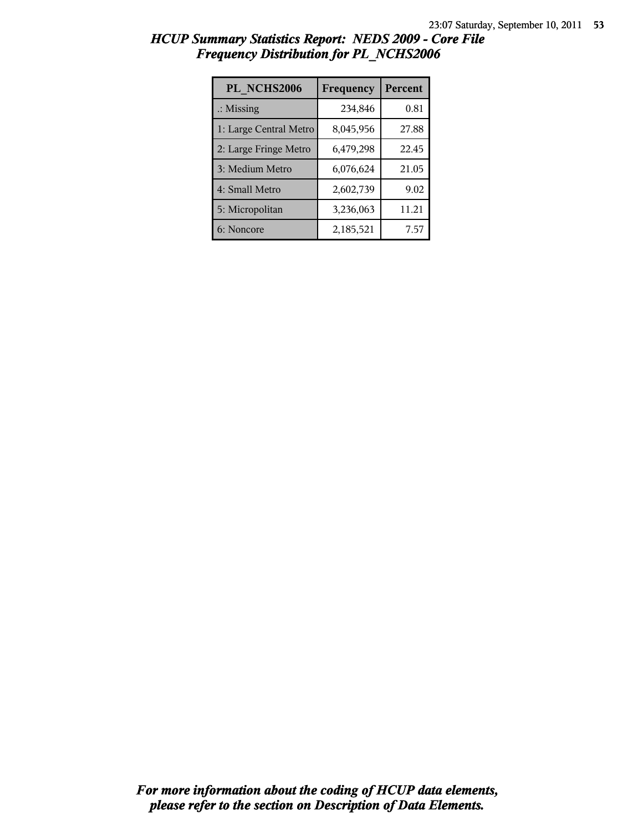| PL NCHS2006            | Frequency | <b>Percent</b> |
|------------------------|-----------|----------------|
| $\therefore$ Missing   | 234,846   | 0.81           |
| 1: Large Central Metro | 8,045,956 | 27.88          |
| 2: Large Fringe Metro  | 6,479,298 | 22.45          |
| 3: Medium Metro        | 6,076,624 | 21.05          |
| 4: Small Metro         | 2,602,739 | 9.02           |
| 5: Micropolitan        | 3,236,063 | 11.21          |
| 6: Noncore             | 2,185,521 | 7.57           |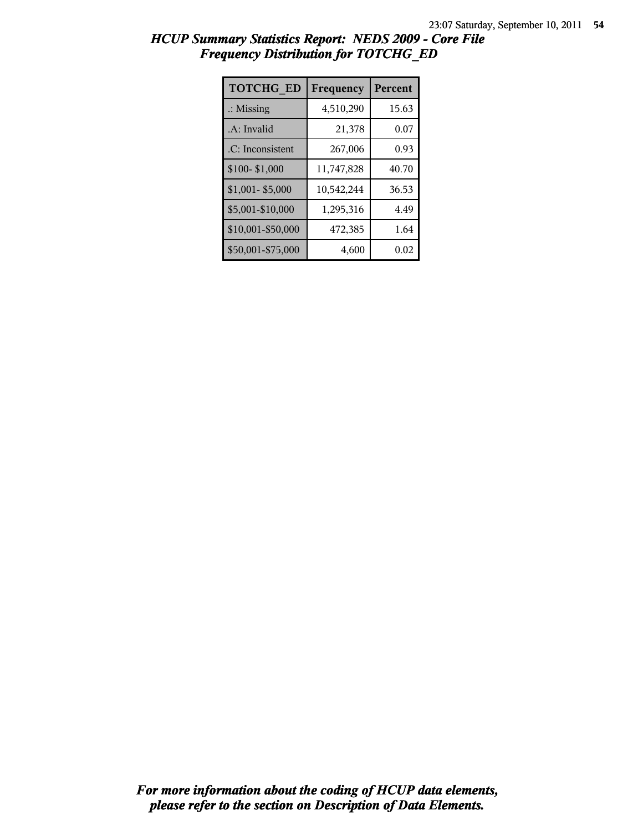| <b>TOTCHG ED</b>     | Frequency  | <b>Percent</b> |
|----------------------|------------|----------------|
| $\therefore$ Missing | 4,510,290  | 15.63          |
| A: Invalid           | 21,378     | 0.07           |
| .C: Inconsistent     | 267,006    | 0.93           |
| \$100-\$1,000        | 11,747,828 | 40.70          |
| \$1,001-\$5,000      | 10,542,244 | 36.53          |
| \$5,001-\$10,000     | 1,295,316  | 4.49           |
| \$10,001-\$50,000    | 472,385    | 1.64           |
| \$50,001-\$75,000    | 4,600      | 0.02           |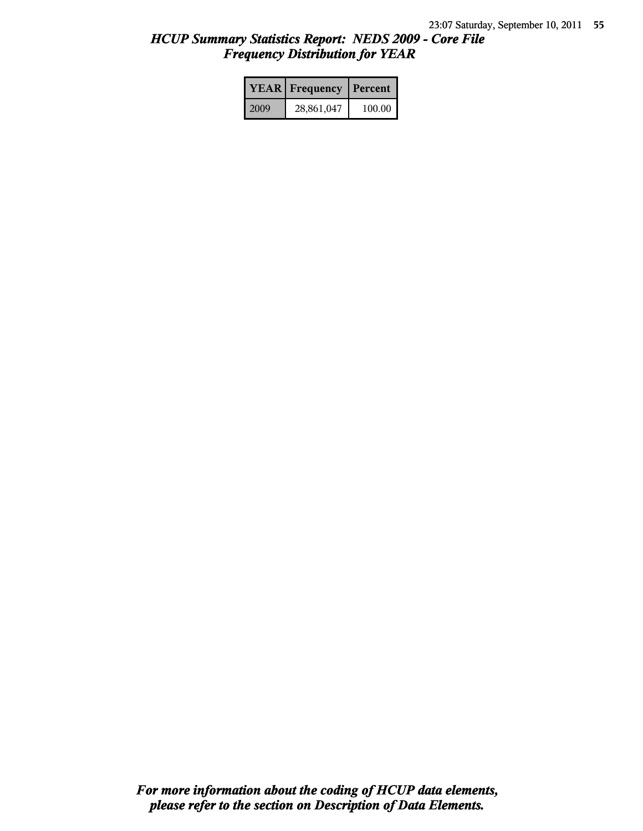|      | <b>YEAR</b> Frequency | Percent |
|------|-----------------------|---------|
| 2009 | 28,861,047            | 100.00  |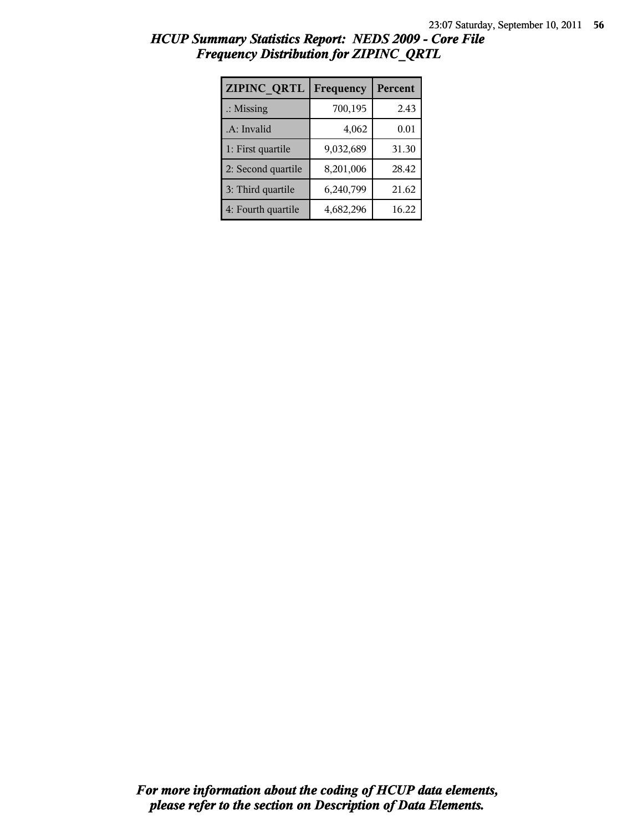| ZIPINC QRTL          | Frequency | Percent |
|----------------------|-----------|---------|
| $\therefore$ Missing | 700,195   | 2.43    |
| .A: Invalid          | 4,062     | 0.01    |
| 1: First quartile    | 9,032,689 | 31.30   |
| 2: Second quartile   | 8,201,006 | 28.42   |
| 3: Third quartile    | 6,240,799 | 21.62   |
| 4: Fourth quartile   | 4,682,296 | 16.22   |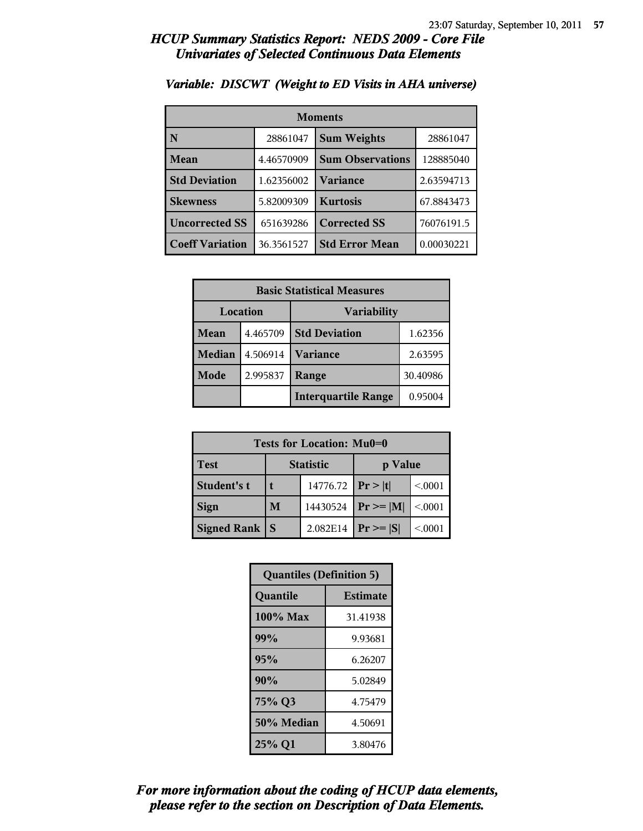| <b>Moments</b>         |            |                         |            |
|------------------------|------------|-------------------------|------------|
| N                      | 28861047   | <b>Sum Weights</b>      | 28861047   |
| Mean                   | 4.46570909 | <b>Sum Observations</b> | 128885040  |
| <b>Std Deviation</b>   | 1.62356002 | Variance                | 2.63594713 |
| <b>Skewness</b>        | 5.82009309 | <b>Kurtosis</b>         | 67.8843473 |
| <b>Uncorrected SS</b>  | 651639286  | <b>Corrected SS</b>     | 76076191.5 |
| <b>Coeff Variation</b> | 36.3561527 | <b>Std Error Mean</b>   | 0.00030221 |

### *Variable: DISCWT (Weight to ED Visits in AHA universe)*

| <b>Basic Statistical Measures</b> |          |                            |          |  |
|-----------------------------------|----------|----------------------------|----------|--|
| Location<br><b>Variability</b>    |          |                            |          |  |
| Mean                              | 4.465709 | <b>Std Deviation</b>       | 1.62356  |  |
| <b>Median</b>                     | 4.506914 | <b>Variance</b>            | 2.63595  |  |
| Mode                              | 2.995837 | Range                      | 30.40986 |  |
|                                   |          | <b>Interquartile Range</b> | 0.95004  |  |

| Tests for Location: Mu0=0 |                             |          |                |          |  |
|---------------------------|-----------------------------|----------|----------------|----------|--|
| <b>Test</b>               | <b>Statistic</b><br>p Value |          |                |          |  |
| Student's t               | 14776.72                    |          | Pr >  t        | < 0.001  |  |
| <b>Sign</b>               | 14430524<br>M               |          | $Pr \ge =  M $ | < 0.001  |  |
| <b>Signed Rank</b>        | S                           | 2.082E14 | $Pr \geq  S $  | < 0.0001 |  |

| <b>Quantiles (Definition 5)</b> |          |  |
|---------------------------------|----------|--|
| <b>Estimate</b><br>Quantile     |          |  |
| 100% Max                        | 31.41938 |  |
| 99%                             | 9.93681  |  |
| 95%                             | 6.26207  |  |
| 90%                             | 5.02849  |  |
| 75% Q3<br>4.75479               |          |  |
| 50% Median<br>4.50691           |          |  |
| 25% Q1<br>3.80476               |          |  |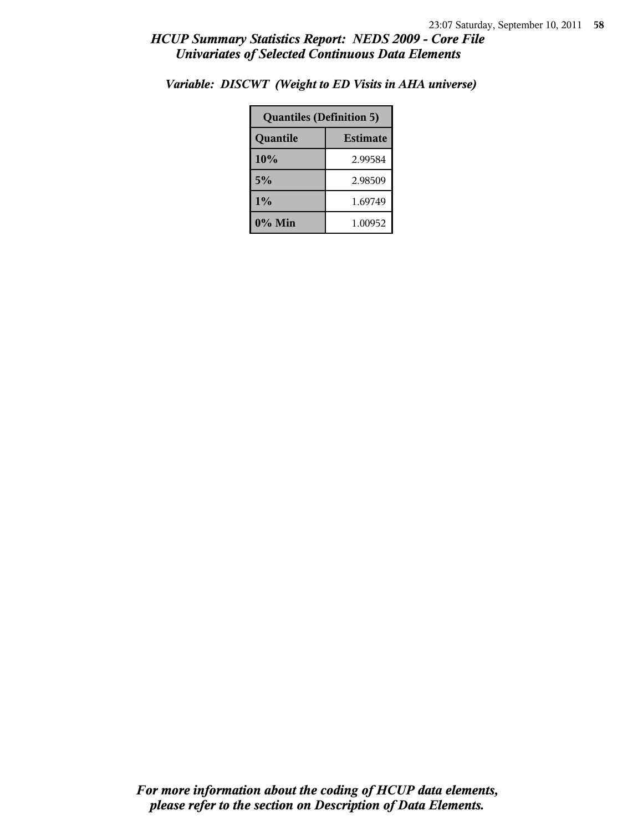| <b>Quantiles (Definition 5)</b> |         |  |
|---------------------------------|---------|--|
| <b>Estimate</b><br>Quantile     |         |  |
| 10%<br>2.99584                  |         |  |
| 5%<br>2.98509                   |         |  |
| $1\%$<br>1.69749                |         |  |
| 0% Min                          | 1.00952 |  |

*Variable: DISCWT (Weight to ED Visits in AHA universe)*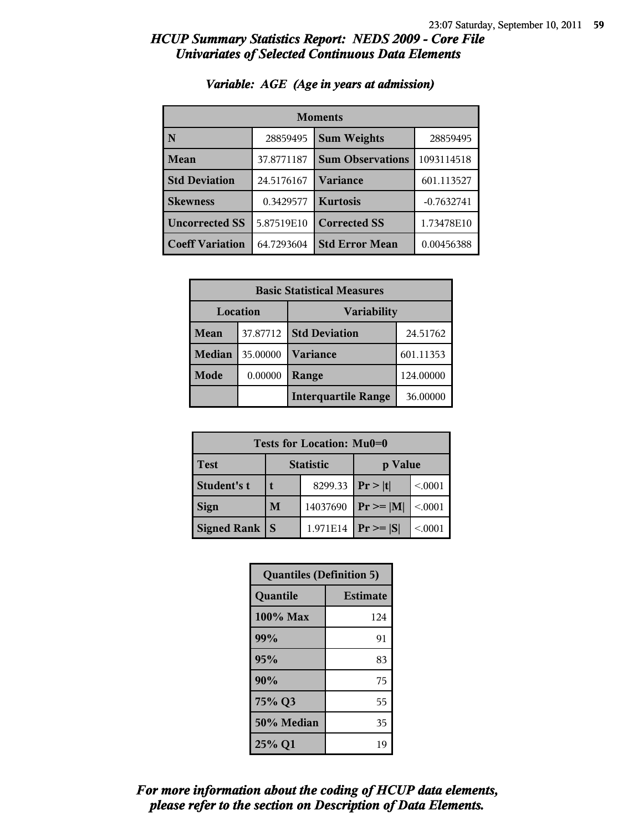| <b>Moments</b>         |            |                         |              |  |
|------------------------|------------|-------------------------|--------------|--|
| N                      | 28859495   | <b>Sum Weights</b>      | 28859495     |  |
| Mean                   | 37.8771187 | <b>Sum Observations</b> | 1093114518   |  |
| <b>Std Deviation</b>   | 24.5176167 | <b>Variance</b>         | 601.113527   |  |
| <b>Skewness</b>        | 0.3429577  | <b>Kurtosis</b>         | $-0.7632741$ |  |
| <b>Uncorrected SS</b>  | 5.87519E10 | <b>Corrected SS</b>     | 1.73478E10   |  |
| <b>Coeff Variation</b> | 64.7293604 | <b>Std Error Mean</b>   | 0.00456388   |  |

### *Variable: AGE (Age in years at admission)*

| <b>Basic Statistical Measures</b>     |          |                            |           |  |
|---------------------------------------|----------|----------------------------|-----------|--|
| <b>Location</b><br><b>Variability</b> |          |                            |           |  |
| <b>Mean</b>                           | 37.87712 | <b>Std Deviation</b>       | 24.51762  |  |
| <b>Median</b>                         | 35.00000 | <b>Variance</b>            | 601.11353 |  |
| <b>Mode</b>                           | 0.00000  | Range                      | 124.00000 |  |
|                                       |          | <b>Interquartile Range</b> | 36.00000  |  |

| Tests for Location: Mu0=0 |                             |          |                |         |  |
|---------------------------|-----------------------------|----------|----------------|---------|--|
| <b>Test</b>               | <b>Statistic</b><br>p Value |          |                |         |  |
| Student's t               |                             | 8299.33  | Pr> t          | < 0.001 |  |
| <b>Sign</b>               | 14037690<br>M               |          | $Pr \ge =  M $ | < 0.001 |  |
| Signed Rank               |                             | 1.971E14 | $Pr \geq  S $  | < 0001  |  |

| <b>Quantiles (Definition 5)</b> |                 |  |
|---------------------------------|-----------------|--|
| Quantile                        | <b>Estimate</b> |  |
| $100\%$ Max                     | 124             |  |
| 99%                             | 91              |  |
| 95%                             | 83              |  |
| 90%                             | 75              |  |
| 75% Q3                          | 55              |  |
| 50% Median                      | 35              |  |
| 25% Q1                          | 19              |  |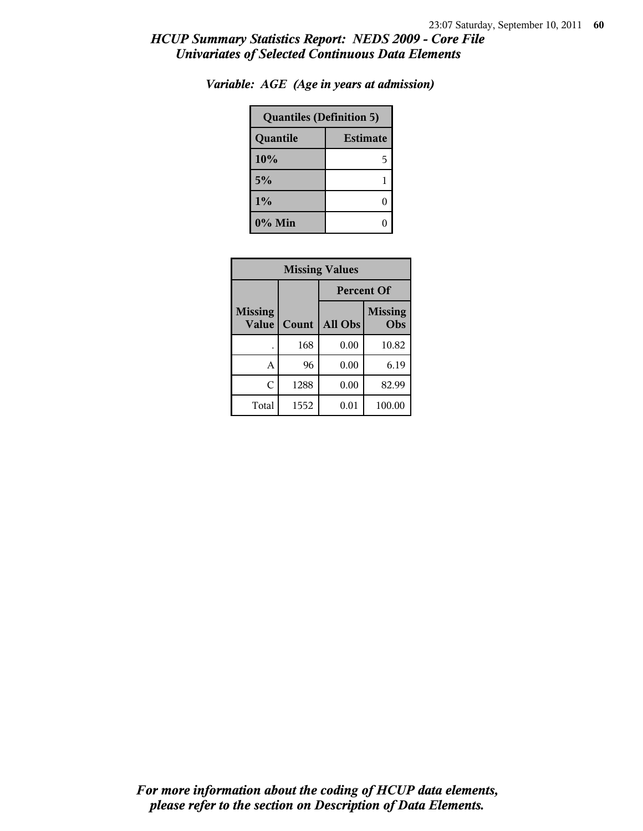| <b>Quantiles (Definition 5)</b> |   |  |
|---------------------------------|---|--|
| <b>Estimate</b><br>Quantile     |   |  |
| 10%                             | 5 |  |
| 5%                              |   |  |
| 1%                              |   |  |
| 0% Min                          |   |  |

*Variable: AGE (Age in years at admission)*

| <b>Missing Values</b>          |       |                                  |        |  |
|--------------------------------|-------|----------------------------------|--------|--|
|                                |       | <b>Percent Of</b>                |        |  |
| <b>Missing</b><br><b>Value</b> | Count | <b>Missing</b><br>All Obs<br>Obs |        |  |
|                                | 168   | 0.00                             | 10.82  |  |
| A                              | 96    | 0.00                             | 6.19   |  |
| C                              | 1288  | 0.00                             | 82.99  |  |
| Total                          | 1552  | 0.01                             | 100.00 |  |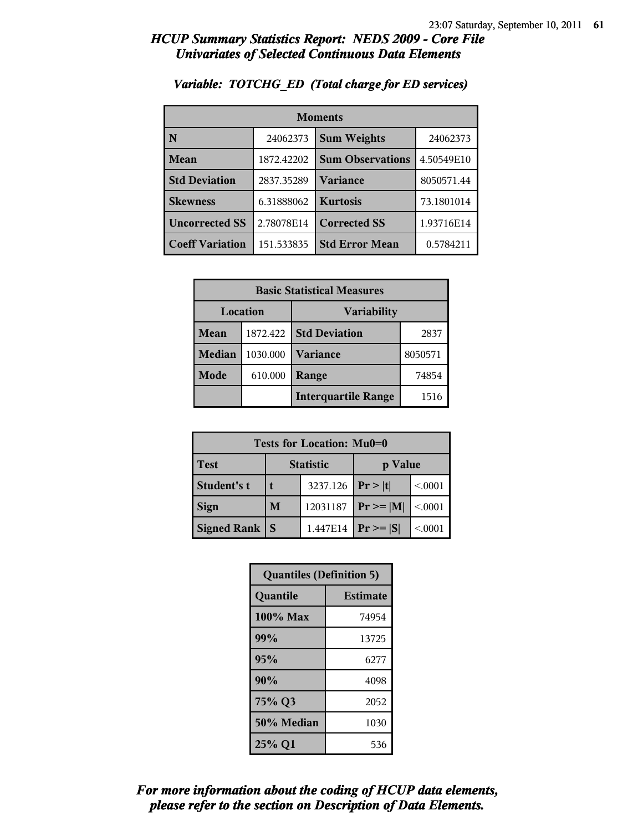| <b>Moments</b>         |            |                         |            |
|------------------------|------------|-------------------------|------------|
| N                      | 24062373   | <b>Sum Weights</b>      | 24062373   |
| Mean                   | 1872.42202 | <b>Sum Observations</b> | 4.50549E10 |
| <b>Std Deviation</b>   | 2837.35289 | Variance                | 8050571.44 |
| <b>Skewness</b>        | 6.31888062 | <b>Kurtosis</b>         | 73.1801014 |
| <b>Uncorrected SS</b>  | 2.78078E14 | <b>Corrected SS</b>     | 1.93716E14 |
| <b>Coeff Variation</b> | 151.533835 | <b>Std Error Mean</b>   | 0.5784211  |

### *Variable: TOTCHG\_ED (Total charge for ED services)*

| <b>Basic Statistical Measures</b> |          |                            |         |  |  |  |
|-----------------------------------|----------|----------------------------|---------|--|--|--|
| Location                          |          | Variability                |         |  |  |  |
| Mean                              | 1872.422 | <b>Std Deviation</b>       | 2837    |  |  |  |
| <b>Median</b>                     | 1030.000 | <b>Variance</b>            | 8050571 |  |  |  |
| <b>Mode</b>                       | 610.000  | Range                      | 74854   |  |  |  |
|                                   |          | <b>Interquartile Range</b> | 1516    |  |  |  |

| Tests for Location: Mu0=0 |                  |          |               |         |  |  |  |
|---------------------------|------------------|----------|---------------|---------|--|--|--|
| <b>Test</b>               | <b>Statistic</b> |          | p Value       |         |  |  |  |
| Student's t               |                  | 3237.126 | Pr >  t       | < 0.001 |  |  |  |
| <b>Sign</b>               | M                | 12031187 | $Pr \ge  M $  | < 0.001 |  |  |  |
| <b>Signed Rank</b>        | S                | 1.447E14 | $Pr \geq  S $ | < 0001  |  |  |  |

| <b>Quantiles (Definition 5)</b> |                 |  |
|---------------------------------|-----------------|--|
| Quantile                        | <b>Estimate</b> |  |
| 100% Max                        | 74954           |  |
| 99%                             | 13725           |  |
| 95%                             | 6277            |  |
| 90%                             | 4098            |  |
| 75% Q3                          | 2052            |  |
| 50% Median                      | 1030            |  |
| 25% Q1                          | 536             |  |